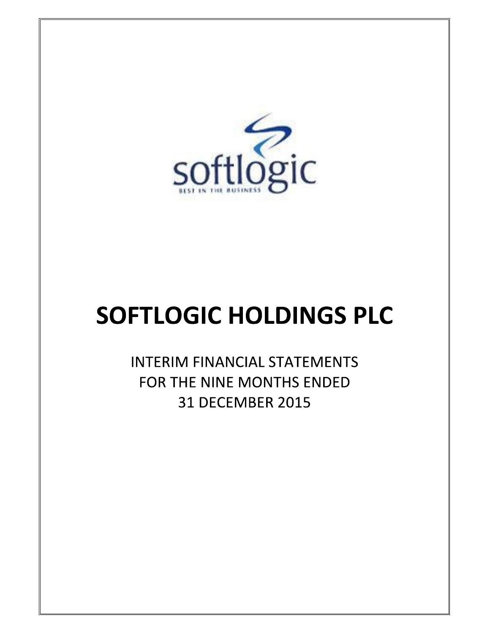

# **SOFTLOGIC HOLDINGS PLC**

**INTERIM FINANCIAL STATEMENTS** FOR THE NINE MONTHS ENDED **31 DECEMBER 2015**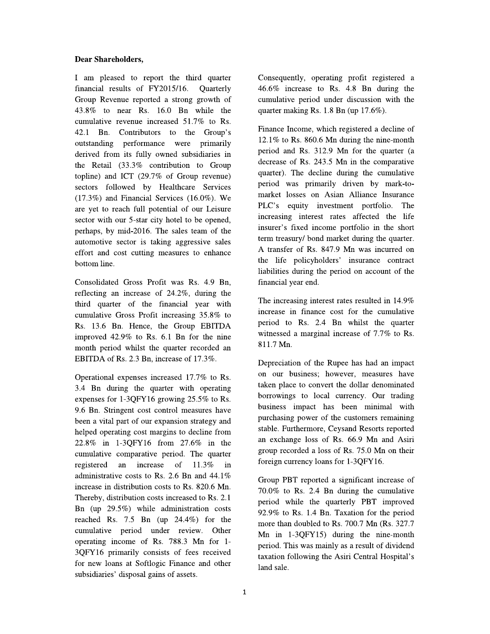# **Dear Shareholders,**

I am pleased to report the third quarter financial results of FY2015/16. Quarterly Group Revenue reported a strong growth of 43.8% to near Rs. 16.0 Bn while the cumulative revenue increased 51.7% to Rs. 42.1 Bn. Contributors to the Group's outstanding performance were primarily derived from its fully owned subsidiaries in the Retail (33.3% contribution to Group topline) and ICT (29.7% of Group revenue) sectors followed by Healthcare Services  $(17.3\%)$  and Financial Services  $(16.0\%)$ . We are yet to reach full potential of our Leisure sector with our 5-star city hotel to be opened, perhaps, by mid-2016. The sales team of the automotive sector is taking aggressive sales effort and cost cutting measures to enhance bottom line.

Consolidated Gross Profit was Rs. 4.9 Bn, reflecting an increase of 24.2%, during the third quarter of the financial year with cumulative Gross Profit increasing 35.8% to Rs. 13.6 Bn. Hence, the Group EBITDA improved 42.9% to Rs. 6.1 Bn for the nine month period whilst the quarter recorded an EBITDA of Rs. 2.3 Bn, increase of 17.3%.

Operational expenses increased 17.7% to Rs. 3.4 Bn during the quarter with operating expenses for 1-3QFY16 growing 25.5% to Rs. 9.6 Bn. Stringent cost control measures have been a vital part of our expansion strategy and helped operating cost margins to decline from 22.8% in 1-3QFY16 from 27.6% in the cumulative comparative period. The quarter registered an increase of 11.3% in administrative costs to Rs. 2.6 Bn and  $44.1\%$ increase in distribution costs to Rs. 820.6 Mn. Thereby, distribution costs increased to Rs. 2.1 Bn (up  $29.5\%$ ) while administration costs reached Rs. 7.5 Bn (up  $24.4\%$ ) for the cumulative period under review. Other operating income of Rs. 788.3 Mn for 1-3QFY16 primarily consists of fees received for new loans at Softlogic Finance and other subsidiaries' disposal gains of assets.

Consequently, operating profit registered a 46.6% increase to Rs. 4.8 Bn during the cumulative period under discussion with the quarter making Rs. 1.8 Bn (up 17.6%).

Finance Income, which registered a decline of  $12.1\%$  to Rs. 860.6 Mn during the nine-month period and Rs. 312.9 Mn for the quarter (a decrease of Rs. 243.5 Mn in the comparative quarter). The decline during the cumulative period was primarily driven by mark-tomarket losses on Asian Alliance Insurance PLC's equity investment portfolio. The increasing interest rates affected the life insurer's fixed income portfolio in the short term treasury/ bond market during the quarter. A transfer of Rs. 847.9 Mn was incurred on the life policyholders' insurance contract liabilities during the period on account of the financial year end.

The increasing interest rates resulted in 14.9% increase in finance cost for the cumulative period to Rs. 2.4 Bn whilst the quarter witnessed a marginal increase of 7.7% to Rs. 811.7 Mn.

Depreciation of the Rupee has had an impact on our business; however, measures have taken place to convert the dollar denominated borrowings to local currency. Our trading business impact has been minimal with purchasing power of the customers remaining stable. Furthermore, Ceysand Resorts reported an exchange loss of Rs. 66.9 Mn and Asiri group recorded a loss of Rs. 75.0 Mn on their foreign currency loans for 1-3QFY16.

Group PBT reported a significant increase of 70.0% to Rs. 2.4 Bn during the cumulative period while the quarterly PBT improved 92.9% to Rs. 1.4 Bn. Taxation for the period more than doubled to Rs. 700.7 Mn (Rs. 327.7) Mn in  $1-3$ OFY $15$ ) during the nine-month period. This was mainly as a result of dividend taxation following the Asiri Central Hospital's land sale.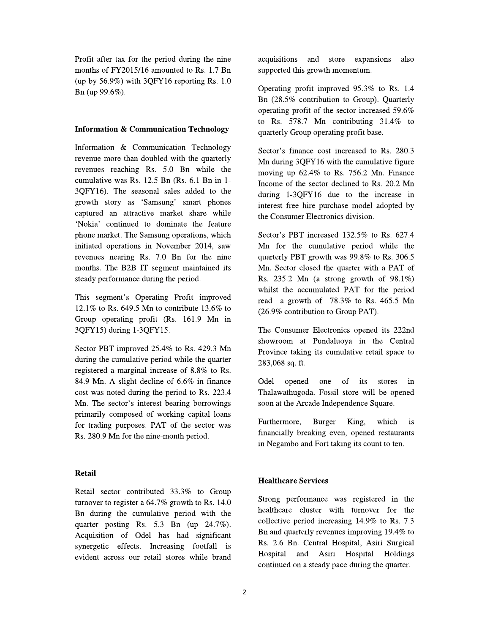Profit after tax for the period during the nine months of FY2015/16 amounted to Rs. 1.7 Bn (up by 56.9%) with 3QFY16 reporting Rs. 1.0 Bn (up 99.6%).

# **Information & Communication Technology**

Information & Communication Technology revenue more than doubled with the quarterly revenues reaching Rs. 5.0 Bn while the cumulative was Rs. 12.5 Bn (Rs. 6.1 Bn in 1-3QFY16). The seasonal sales added to the growth story as 'Samsung' smart phones captured an attractive market share while 'Nokia' continued to dominate the feature phone market. The Samsung operations, which initiated operations in November 2014, saw revenues nearing Rs. 7.0 Bn for the nine months. The B2B IT segment maintained its steady performance during the period.

This segment's Operating Profit improved 12.1% to Rs. 649.5 Mn to contribute 13.6% to Group operating profit (Rs. 161.9 Mn in 3QFY15) during 1-3QFY15.

Sector PBT improved 25.4% to Rs. 429.3 Mn during the cumulative period while the quarter registered a marginal increase of 8.8% to Rs. 84.9 Mn. A slight decline of 6.6% in finance cost was noted during the period to Rs. 223.4 Mn. The sector's interest bearing borrowings primarily composed of working capital loans for trading purposes. PAT of the sector was Rs. 280.9 Mn for the nine-month period.

# **Retail**

Retail sector contributed 33.3% to Group turnover to register a  $64.7\%$  growth to Rs. 14.0 Bn during the cumulative period with the quarter posting Rs. 5.3 Bn (up 24.7%). Acquisition of Odel has had significant synergetic effects. Increasing footfall is evident across our retail stores while brand acquisitions and store expansions also supported this growth momentum.

Operating profit improved 95.3% to Rs. 1.4 Bn (28.5% contribution to Group). Quarterly operating profit of the sector increased 59.6% to Rs. 578.7 Mn contributing 31.4% to quarterly Group operating profit base.

Sector's finance cost increased to Rs. 280.3 Mn during 3QFY16 with the cumulative figure moving up 62.4% to Rs. 756.2 Mn. Finance Income of the sector declined to Rs. 20.2 Mn during 1-3QFY16 due to the increase in interest free hire purchase model adopted by the Consumer Electronics division.

Sector's PBT increased 132.5% to Rs. 627.4 Mn for the cumulative period while the quarterly PBT growth was 99.8% to Rs. 306.5 Mn. Sector closed the quarter with a PAT of Rs. 235.2 Mn (a strong growth of  $98.1\%$ ) whilst the accumulated PAT for the period read a growth of 78.3% to Rs. 465.5 Mn (26.9% contribution to Group PAT).

The Consumer Electronics opened its 222nd showroom at Pundaluoya in the Central Province taking its cumulative retail space to 283,068 sq. ft.

opened one of its Odel stores in Thalawathugoda. Fossil store will be opened soon at the Arcade Independence Square.

Furthermore, **Burger** King, which is financially breaking even, opened restaurants in Negambo and Fort taking its count to ten.

# **Healthcare Services**

Strong performance was registered in the healthcare cluster with turnover for the collective period increasing  $14.9\%$  to Rs. 7.3 Bn and quarterly revenues improving 19.4% to Rs. 2.6 Bn. Central Hospital, Asiri Surgical Hospital and Asiri Hospital Holdings continued on a steady pace during the quarter.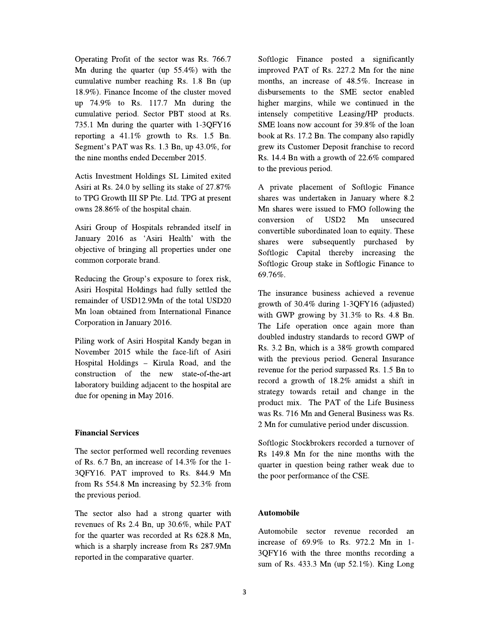Operating Profit of the sector was Rs. 766.7 Mn during the quarter (up  $55.4\%$ ) with the cumulative number reaching Rs. 1.8 Bn (up) 18.9%). Finance Income of the cluster moved up 74.9% to Rs. 117.7 Mn during the cumulative period. Sector PBT stood at Rs. 735.1 Mn during the quarter with 1-3QFY16 reporting a  $41.1\%$  growth to Rs. 1.5 Bn. Segment's PAT was Rs. 1.3 Bn, up 43.0%, for the nine months ended December 2015.

Actis Investment Holdings SL Limited exited Asiri at Rs. 24.0 by selling its stake of 27.87% to TPG Growth III SP Pte. Ltd. TPG at present owns 28.86% of the hospital chain.

Asiri Group of Hospitals rebranded itself in January 2016 as 'Asiri Health' with the objective of bringing all properties under one common corporate brand.

Reducing the Group's exposure to forex risk, Asiri Hospital Holdings had fully settled the remainder of USD12.9Mn of the total USD20 Mn loan obtained from International Finance Corporation in January 2016.

Piling work of Asiri Hospital Kandy began in November 2015 while the face-lift of Asiri Hospital Holdings - Kirula Road, and the construction of the new state-of-the-art laboratory building adjacent to the hospital are due for opening in May 2016.

# **Financial Services**

The sector performed well recording revenues of Rs. 6.7 Bn, an increase of 14.3% for the 1-3QFY16. PAT improved to Rs. 844.9 Mn from Rs 554.8 Mn increasing by 52.3% from the previous period.

The sector also had a strong quarter with revenues of Rs 2.4 Bn, up 30.6%, while PAT for the quarter was recorded at Rs 628.8 Mn, which is a sharply increase from Rs 287.9Mn reported in the comparative quarter.

Softlogic Finance posted a significantly improved PAT of Rs. 227.2 Mn for the nine months, an increase of 48.5%. Increase in disbursements to the SME sector enabled higher margins, while we continued in the intensely competitive Leasing/HP products. SME loans now account for 39.8% of the loan book at Rs. 17.2 Bn. The company also rapidly grew its Customer Deposit franchise to record Rs. 14.4 Bn with a growth of 22.6% compared to the previous period.

A private placement of Softlogic Finance shares was undertaken in January where 8.2 Mn shares were issued to FMO following the conversion of USD<sub>2</sub> Mn unsecured convertible subordinated loan to equity. These shares were subsequently purchased by Softlogic Capital thereby increasing the Softlogic Group stake in Softlogic Finance to 69.76%.

The insurance business achieved a revenue growth of 30.4% during 1-3QFY16 (adjusted) with GWP growing by  $31.3\%$  to Rs. 4.8 Bn. The Life operation once again more than doubled industry standards to record GWP of Rs. 3.2 Bn, which is a 38% growth compared with the previous period. General Insurance revenue for the period surpassed Rs. 1.5 Bn to record a growth of 18.2% amidst a shift in strategy towards retail and change in the product mix. The PAT of the Life Business was Rs. 716 Mn and General Business was Rs. 2 Mn for cumulative period under discussion.

Softlogic Stockbrokers recorded a turnover of Rs 149.8 Mn for the nine months with the quarter in question being rather weak due to the poor performance of the CSE.

# **Automobile**

Automobile sector revenue recorded an increase of 69.9% to Rs. 972.2 Mn in 1-3QFY16 with the three months recording a sum of Rs. 433.3 Mn (up 52.1%). King Long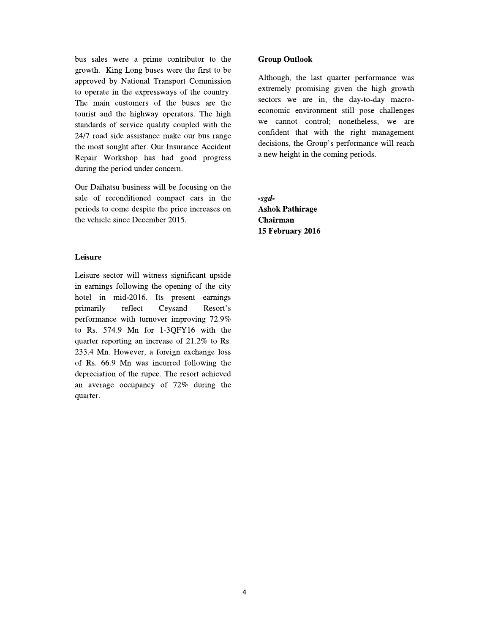bus sales were a prime contributor to the growth. King Long buses were the first to be approved by National Transport Commission to operate in the expressways of the country. The main customers of the buses are the tourist and the highway operators. The high standards of service quality coupled with the 24/7 road side assistance make our bus range the most sought after. Our Insurance Accident Repair Workshop has had good progress during the period under concern.

Our Daihatsu business will be focusing on the sale of reconditioned compact cars in the periods to come despite the price increases on the vehicle since December 2015.

# Leisure

Leisure sector will witness significant upside in earnings following the opening of the city hotel in mid-2016. Its present earnings Ceysand primarily reflect Resort's performance with turnover improving 72.9% to Rs. 574.9 Mn for 1-3QFY16 with the quarter reporting an increase of 21.2% to Rs. 233.4 Mn. However, a foreign exchange loss of Rs. 66.9 Mn was incurred following the depreciation of the rupee. The resort achieved an average occupancy of 72% during the quarter.

**Group Outlook** 

Although, the last quarter performance was extremely promising given the high growth sectors we are in, the day-to-day macroeconomic environment still pose challenges we cannot control; nonetheless, we are confident that with the right management decisions, the Group's performance will reach a new height in the coming periods.

 $-sgd-$ **Ashok Pathirage Chairman** 15 February 2016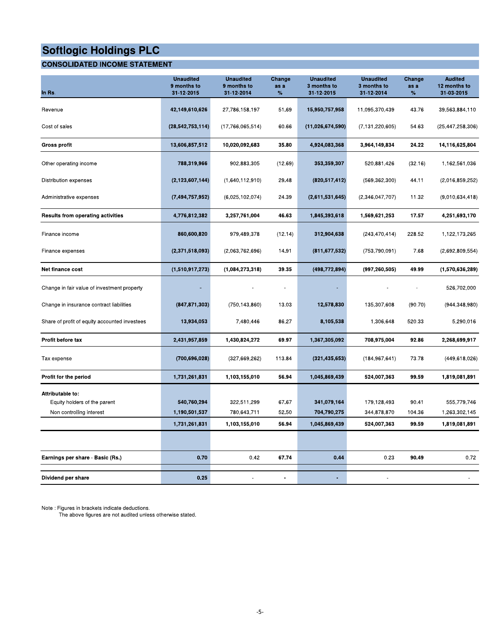# **CONSOLIDATED INCOME STATEMENT**

| In Rs.                                           | <b>Unaudited</b><br>9 months to<br>31-12-2015 | <b>Unaudited</b><br>9 months to<br>31-12-2014 | Change<br>as a<br>% | <b>Unaudited</b><br>3 months to<br>31-12-2015 | <b>Unaudited</b><br>3 months to<br>31-12-2014 | Change<br>as a<br>% | <b>Audited</b><br>12 months to<br>31-03-2015 |
|--------------------------------------------------|-----------------------------------------------|-----------------------------------------------|---------------------|-----------------------------------------------|-----------------------------------------------|---------------------|----------------------------------------------|
| Revenue                                          | 42,149,610,626                                | 27,786,158,197                                | 51.69               | 15,950,757,958                                | 11,095,370,439                                | 43.76               | 39,563,884,110                               |
| Cost of sales                                    | (28, 542, 753, 114)                           | (17,766,065,514)                              | 60.66               | (11,026,674,590)                              | (7, 131, 220, 605)                            | 54.63               | (25, 447, 258, 306)                          |
| Gross profit                                     | 13,606,857,512                                | 10,020,092,683                                | 35.80               | 4,924,083,368                                 | 3,964,149,834                                 | 24.22               | 14,116,625,804                               |
| Other operating income                           | 788,319,966                                   | 902,883,305                                   | (12.69)             | 353,359,307                                   | 520,881,426                                   | (32.16)             | 1,162,561,036                                |
| Distribution expenses                            | (2, 123, 607, 144)                            | (1,640,112,910)                               | 29.48               | (820, 517, 412)                               | (569, 362, 300)                               | 44.11               | (2,016,859,252)                              |
| Administrative expenses                          | (7,494,757,952)                               | (6,025,102,074)                               | 24.39               | (2,611,531,645)                               | (2,346,047,707)                               | 11.32               | (9,010,634,418)                              |
| <b>Results from operating activities</b>         | 4,776,812,382                                 | 3,257,761,004                                 | 46.63               | 1,845,393,618                                 | 1,569,621,253                                 | 17.57               | 4,251,693,170                                |
| Finance income                                   | 860,600,820                                   | 979,489,378                                   | (12.14)             | 312,904,638                                   | (243, 470, 414)                               | 228.52              | 1,122,173,265                                |
| Finance expenses                                 | (2,371,518,093)                               | (2,063,762,696)                               | 14.91               | (811, 677, 532)                               | (753, 790, 091)                               | 7.68                | (2,692,809,554)                              |
| Net finance cost                                 | (1,510,917,273)                               | (1,084,273,318)                               | 39.35               | (498,772,894)                                 | (997, 260, 505)                               | 49.99               | (1,570,636,289)                              |
| Change in fair value of investment property      |                                               |                                               |                     |                                               |                                               |                     | 526,702,000                                  |
| Change in insurance contract liabilities         | (847, 871, 303)                               | (750, 143, 860)                               | 13.03               | 12,578,830                                    | 135,307,608                                   | (90.70)             | (944, 348, 980)                              |
| Share of profit of equity accounted investees    | 13,934,053                                    | 7,480,446                                     | 86.27               | 8,105,538                                     | 1,306,648                                     | 520.33              | 5,290,016                                    |
| Profit before tax                                | 2,431,957,859                                 | 1,430,824,272                                 | 69.97               | 1,367,305,092                                 | 708,975,004                                   | 92.86               | 2,268,699,917                                |
| Tax expense                                      | (700, 696, 028)                               | (327, 669, 262)                               | 113.84              | (321, 435, 653)                               | (184, 967, 641)                               | 73.78               | (449, 618, 026)                              |
| Profit for the period                            | 1,731,261,831                                 | 1,103,155,010                                 | 56.94               | 1,045,869,439                                 | 524,007,363                                   | 99.59               | 1,819,081,891                                |
| Attributable to:<br>Equity holders of the parent | 540,760,294                                   | 322,511,299                                   | 67.67               | 341,079,164                                   | 179,128,493                                   | 90.41               | 555,779,746                                  |
| Non controlling interest                         | 1,190,501,537                                 | 780,643,711                                   | 52.50               | 704,790,275                                   | 344,878,870                                   | 104.36              | 1,263,302,145                                |
|                                                  | 1,731,261,831                                 | 1,103,155,010                                 | 56.94               | 1,045,869,439                                 | 524,007,363                                   | 99.59               | 1,819,081,891                                |
|                                                  |                                               |                                               |                     |                                               |                                               |                     |                                              |
| Earnings per share - Basic (Rs.)                 | 0.70                                          | 0.42                                          | 67.74               | 0.44                                          | 0.23                                          | 90.49               | 0.72                                         |
| Dividend per share                               | 0.25                                          |                                               |                     |                                               |                                               |                     |                                              |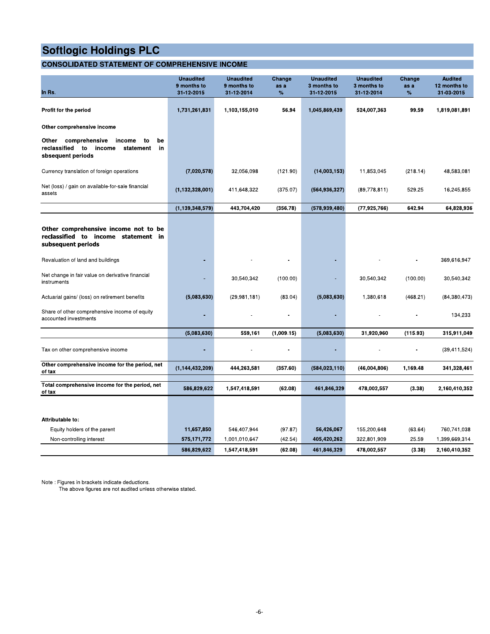# **CONSOLIDATED STATEMENT OF COMPREHENSIVE INCOME**

| In Rs.                                                                                                            | <b>Unaudited</b><br>9 months to<br>31-12-2015 | <b>Unaudited</b><br>9 months to<br>31-12-2014 | Change<br>as a<br>% | <b>Unaudited</b><br>3 months to<br>31-12-2015 | <b>Unaudited</b><br>3 months to<br>31-12-2014 | Change<br>as a<br>% | <b>Audited</b><br>12 months to<br>31-03-2015 |
|-------------------------------------------------------------------------------------------------------------------|-----------------------------------------------|-----------------------------------------------|---------------------|-----------------------------------------------|-----------------------------------------------|---------------------|----------------------------------------------|
| Profit for the period                                                                                             | 1,731,261,831                                 | 1,103,155,010                                 | 56.94               | 1,045,869,439                                 | 524,007,363                                   | 99.59               | 1,819,081,891                                |
| Other comprehensive income                                                                                        |                                               |                                               |                     |                                               |                                               |                     |                                              |
| Other<br>comprehensive<br>income<br>to<br>be<br>reclassified to<br>income<br>statement<br>in<br>sbsequent periods |                                               |                                               |                     |                                               |                                               |                     |                                              |
| Currency translation of foreign operations                                                                        | (7,020,578)                                   | 32,056,098                                    | (121.90)            | (14,003,153)                                  | 11,853,045                                    | (218.14)            | 48,583,081                                   |
| Net (loss) / gain on available-for-sale financial<br>assets                                                       | (1, 132, 328, 001)                            | 411,648,322                                   | (375.07)            | (564, 936, 327)                               | (89,778,811)                                  | 529.25              | 16,245,855                                   |
|                                                                                                                   | (1, 139, 348, 579)                            | 443,704,420                                   | (356.78)            | (578, 939, 480)                               | (77, 925, 766)                                | 642.94              | 64,828,936                                   |
| Other comprehensive income not to be<br>reclassified to income statement in<br>subsequent periods                 |                                               |                                               |                     |                                               |                                               |                     |                                              |
| Revaluation of land and buildings                                                                                 |                                               |                                               |                     |                                               |                                               |                     | 369,616,947                                  |
| Net change in fair value on derivative financial<br>instruments                                                   |                                               | 30,540,342                                    | (100.00)            |                                               | 30,540,342                                    | (100.00)            | 30,540,342                                   |
| Actuarial gains/ (loss) on retirement benefits                                                                    | (5,083,630)                                   | (29, 981, 181)                                | (83.04)             | (5,083,630)                                   | 1,380,618                                     | (468.21)            | (84, 380, 473)                               |
| Share of other comprehensive income of equity<br>accounted investments                                            | ٠                                             |                                               |                     |                                               |                                               |                     | 134,233                                      |
|                                                                                                                   | (5,083,630)                                   | 559,161                                       | (1,009.15)          | (5,083,630)                                   | 31,920,960                                    | (115.93)            | 315,911,049                                  |
| Tax on other comprehensive income                                                                                 |                                               |                                               |                     |                                               |                                               |                     | (39, 411, 524)                               |
| Other comprehensive income for the period, net<br>of tax                                                          | (1, 144, 432, 209)                            | 444,263,581                                   | (357.60)            | (584, 023, 110)                               | (46,004,806)                                  | 1,169.48            | 341,328,461                                  |
| Total comprehensive income for the period, net<br>of tax                                                          | 586,829,622                                   | 1,547,418,591                                 | (62.08)             | 461,846,329                                   | 478,002,557                                   | (3.38)              | 2,160,410,352                                |
|                                                                                                                   |                                               |                                               |                     |                                               |                                               |                     |                                              |
| Attributable to:                                                                                                  |                                               |                                               |                     |                                               |                                               |                     |                                              |
| Equity holders of the parent                                                                                      | 11,657,850                                    | 546,407,944                                   | (97.87)             | 56,426,067                                    | 155,200,648                                   | (63.64)             | 760,741,038                                  |
| Non-controlling interest                                                                                          | 575,171,772                                   | 1,001,010,647                                 | (42.54)             | 405,420,262                                   | 322,801,909                                   | 25.59               | 1,399,669,314                                |
|                                                                                                                   | 586,829,622                                   | 1,547,418,591                                 | (62.08)             | 461,846,329                                   | 478,002,557                                   | (3.38)              | 2,160,410,352                                |

Note : Figures in brackets indicate deductions.

The above figures are not audited unless otherwise stated.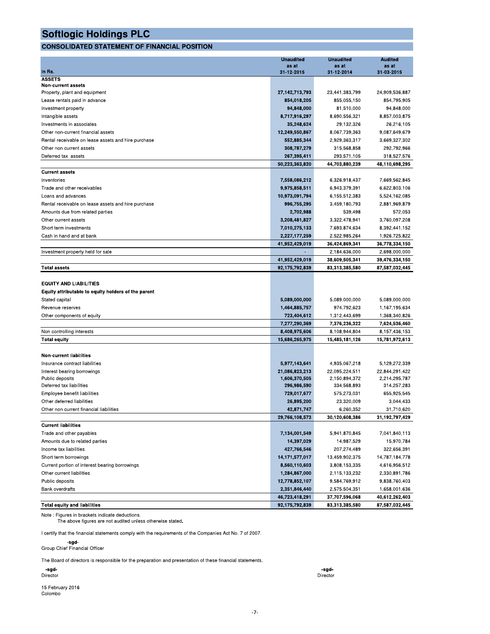# **CONSOLIDATED STATEMENT OF FINANCIAL POSITION**

|                                                     | <b>Unaudited</b> | <b>Unaudited</b> | <b>Audited</b> |
|-----------------------------------------------------|------------------|------------------|----------------|
| In Rs.                                              | as at            | as at            | as at          |
| <b>ASSETS</b>                                       | 31-12-2015       | 31-12-2014       | 31-03-2015     |
| Non-current assets                                  |                  |                  |                |
| Property, plant and equipment                       | 27,142,713,793   | 23,441,383,799   | 24,909,536,887 |
| Lease rentals paid in advance                       | 854,018,205      | 855,055,150      | 854,795,905    |
| Investment property                                 | 94,848,000       | 81,510,000       | 94,848,000     |
| Intangible assets                                   | 8,717,916,297    | 8,690,556,321    | 8,857,003,875  |
| Investments in associates                           | 35,248,624       | 29,132,326       | 26,216,105     |
| Other non-current financial assets                  | 12,249,550,867   | 8,067,739,363    | 9,087,649,679  |
| Rental receivable on lease assets and hire purchase | 552,885,344      | 2,929,363,317    | 3,669,327,302  |
| Other non current assets                            | 308,787,279      | 315,568,858      | 292,792,966    |
| Deferred tax assets                                 | 267,395,411      | 293,571,105      | 318,527,576    |
|                                                     | 50,223,363,820   | 44,703,880,239   | 48,110,698,295 |
| <b>Current assets</b>                               |                  |                  |                |
| Inventories                                         | 7,558,086,212    | 6,326,918,437    | 7,669,562,845  |
| Trade and other receivables                         | 9,975,858,511    | 6,943,379,391    | 6,622,803,106  |
| Loans and advances                                  | 10,973,091,794   | 6,155,512,383    | 5,524,162,085  |
| Rental receivable on lease assets and hire purchase | 996,755,295      | 3,459,180,793    | 2,881,969,879  |
| Amounts due from related parties                    | 2,702,988        | 539,498          | 572,053        |
| Other current assets                                | 3,208,481,827    | 3,322,478,941    | 3,760,097,208  |
| Short term investments                              | 7,010,275,133    | 7.693.874.634    | 8,392,441,152  |
| Cash in hand and at bank                            | 2,227,177,259    | 2,522,985,264    | 1,926,725,822  |
|                                                     | 41,952,429,019   | 36,424,869,341   | 36,778,334,150 |
| Investment property held for sale                   |                  | 2,184,636,000    | 2,698,000,000  |
|                                                     | 41,952,429,019   | 38,609,505,341   | 39,476,334,150 |
| Total assets                                        | 92,175,792,839   | 83,313,385,580   | 87,587,032,445 |
|                                                     |                  |                  |                |
| <b>EQUITY AND LIABILITIES</b>                       |                  |                  |                |
| Equity attributable to equity holders of the parent |                  |                  |                |
| Stated capital                                      | 5,089,000,000    | 5,089,000,000    | 5,089,000,000  |
| Revenue reserves                                    | 1,464,885,757    | 974,792,623      | 1,167,195,634  |
| Other components of equity                          | 723,404,612      | 1,312,443,699    | 1,368,340,826  |
|                                                     | 7,277,290,369    | 7,376,236,322    | 7,624,536,460  |
| Non controlling interests                           | 8,408,975,606    | 8,108,944,804    | 8,157,436,153  |
| <b>Total equity</b>                                 | 15,686,265,975   | 15,485,181,126   | 15,781,972,613 |
|                                                     |                  |                  |                |
| <b>Non-current liabilities</b>                      |                  |                  |                |
| Insurance contract liabilities                      | 5.977,143,641    | 4,935,067,218    | 5,129,272,339  |
| Interest bearing borrowings                         | 21,086,823,213   | 22.095.224.511   | 22,844,291,422 |
| Public deposits                                     | 1,606,370,505    | 2,150,894,372    | 2,214,295,787  |
| Deferred tax liabilities                            | 296,986,590      | 334,568,893      | 314,257,283    |
| Employee benefit liabilities                        | 729,017,677      | 575,273,031      | 655,925,545    |
| Other deferred liabilities                          | 26,895,200       | 23,320,009       | 3,044,433      |
| Other non current financial liabilities             | 42,871,747       | 6,260,352        | 31.710.620     |
|                                                     | 29,766,108,573   | 30,120,608,386   | 31,192,797,429 |
| <b>Current liabilities</b>                          |                  |                  |                |
| Trade and other payables                            | 7,134,001,549    | 5,941,870,845    | 7,041,840,113  |
| Amounts due to related parties                      | 14,397,029       | 14,987,529       | 15,970,784     |
| Income tax liabilities                              | 427,766,546      | 207,274,489      | 322,656,391    |
| Short term borrowings                               | 14,171,577,017   | 13,459,902,375   | 14,787,184,778 |
| Current portion of interest bearing borrowings      | 8,560,110,603    | 3,808,153,335    | 4,616,956,512  |
| Other current liabilities                           | 1,284,867,000    | 2,115,133,232    | 2,330,891,786  |
| Public deposits                                     | 12,778,852,107   | 9,584,769,912    | 9,838,760,403  |
| Bank overdrafts                                     | 2,351,846,440    | 2,575,504,351    | 1,658,001,636  |
|                                                     | 46,723,418,291   | 37,707,596,068   | 40,612,262,403 |
| <b>Total equity and liabilities</b>                 | 92.175.792.839   | 83,313,385,580   | 87.587.032.445 |

Note : Figures in brackets indicate deductions. The above figures are not audited unless otherwise stated.

I certify that the financial statements comply with the requirements of the Companies Act No. 7 of 2007.

-sgd-<br>Group Chief Financial Officer

The Board of directors is responsible for the preparation and presentation of these financial statements.

-sgd-<br>Director

15 February 2016 Colombo

-sgd-Director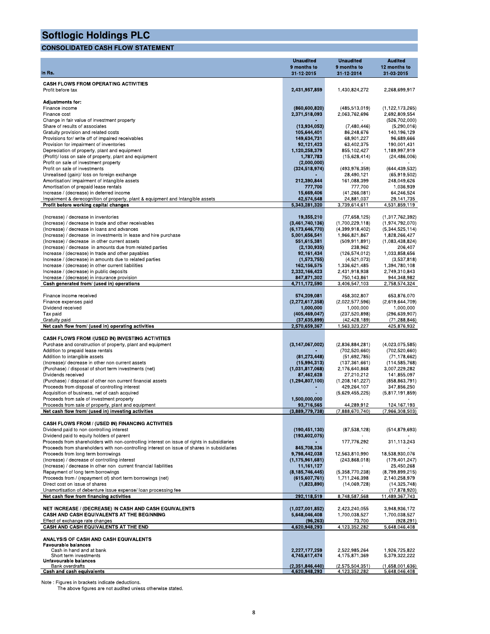# **CONSOLIDATED CASH FLOW STATEMENT**

| <b>CONSOLIDATED CASH FLOW STATEMENT</b>                                                                                                  |                                               |                                               |                                              |
|------------------------------------------------------------------------------------------------------------------------------------------|-----------------------------------------------|-----------------------------------------------|----------------------------------------------|
| In Rs.                                                                                                                                   | <b>Unaudited</b><br>9 months to<br>31-12-2015 | <b>Unaudited</b><br>9 months to<br>31-12-2014 | <b>Audited</b><br>12 months to<br>31-03-2015 |
| <b>CASH FLOWS FROM OPERATING ACTIVITIES</b>                                                                                              |                                               |                                               |                                              |
| Profit before tax                                                                                                                        | 2,431,957,859                                 | 1,430,824,272                                 | 2,268,699,917                                |
| <b>Adjustments for:</b><br>Finance income                                                                                                | (860, 600, 820)                               | (485, 513, 019)                               | (1, 122, 173, 265)                           |
| Finance cost                                                                                                                             | 2,371,518,093                                 | 2,063,762,696                                 | 2,692,809,554                                |
| Change in fair value of investment property<br>Share of results of associates                                                            | (13,934,053)                                  | (7,480,446)                                   | (526, 702, 000)<br>(5,290,016)               |
| Gratuity provision and related costs                                                                                                     | 105,644,401                                   | 86,248,676                                    | 140,196,129                                  |
| Provisions for/write off of impaired receivables<br>Provision for impairment of inventories                                              | 149,634,731<br>92,121,423                     | 68,901,227<br>63,402,375                      | 96,689,666<br>190,001,431                    |
| Depreciation of property, plant and equipment                                                                                            | 1,120,258,379                                 | 855,102,427                                   | 1,189,997,919                                |
| (Profit)/ loss on sale of property, plant and equipment<br>Profit on sale of investment property                                         | 1,787,783<br>(2,000,000)                      | (15,628,414)                                  | (24, 486, 006)                               |
| Profit on sale of investments                                                                                                            | (324, 518, 974)                               | (493, 976, 359)                               | (644, 439, 532)                              |
| Unrealised (gain)/ loss on foreign exchange<br>Amortisation/ impairment of intangible assets                                             | 212,390,844                                   | 28,490,121<br>161,088,399                     | (65,919,502)<br>248,049,626                  |
| Amortisation of prepaid lease rentals                                                                                                    | 777,700                                       | 777,700                                       | 1,036,939                                    |
| Increase / (decrease) in deferred income<br>Impairment & derecognition of property, plant & equipment and Intangible assets              | 15,669,406                                    | (41, 266, 081)                                | 64,246,524<br>29,141,735                     |
| Profit before working capital changes                                                                                                    | 42,574,548<br>5,343,281,320                   | 24,881,037<br>3,739,614,611                   | 4,531,859,119                                |
|                                                                                                                                          |                                               |                                               |                                              |
| (Increase) / decrease in inventories<br>(Increase) / decrease in trade and other receivables                                             | 19,355,210<br>(3,461,740,136)                 | (77,658,125)<br>(1,700,229,118)               | (1,317,762,392)<br>(1,974,792,070)           |
| (Increase) / decrease in loans and advances                                                                                              | (6, 173, 646, 770)                            | (4,399,918,402)                               | (5,344,525,114)                              |
| (Increase) / decrease in investments in lease and hire purchase<br>(Increase) / decrease in other current assets                         | 5,001,656,541<br>551,615,381                  | 1,966,821,867<br>(509, 911, 891)              | 1,828,266,427<br>(1,083,438,824)             |
| (Increase) / decrease in amounts due from related parties                                                                                | (2, 130, 935)                                 | 238,962                                       | 206,407                                      |
| Increase / (decrease) in trade and other payables<br>Increase / (decrease) in amounts due to related parties                             | 92,161,434<br>(1,573,755)                     | (126, 574, 012)<br>(4,521,073)                | 1,033,858,656<br>(3,537,818)                 |
| Increase / (decrease) in other current liabilities                                                                                       | 162,156,575                                   | 1,336,621,485                                 | 1,394,780,108                                |
| Increase / (decrease) in public deposits<br>Increase / (decrease) in insurance provision                                                 | 2,332,166,423<br>847,871,302                  | 2,431,918,938<br>750,143,861                  | 2,749,310,843<br>944,348,982                 |
| Cash generated from/ (used in) operations                                                                                                | 4,711,172,590                                 | 3,406,547,103                                 | 2,758,574,324                                |
| Finance income received                                                                                                                  | 574,209,081                                   | 458,302,807                                   | 653,876,070                                  |
| Finance expenses paid                                                                                                                    | (2,272,617,358)                               | (2,022,577,596)                               | (2,619,644,709)                              |
| Dividend received                                                                                                                        | 1,000,000                                     | 1,000,000                                     | 1,000,000                                    |
| Tax paid<br>Gratuity paid                                                                                                                | (405, 469, 047)<br>(37, 635, 899)             | (237, 520, 898)<br>(42, 428, 189)             | (296, 639, 907)<br>(71, 288, 846)            |
| Net cash flow from/ (used in) operating activities                                                                                       | 2,570,659,367                                 | 1,563,323,227                                 | 425,876,932                                  |
| CASH FLOWS FROM /(USED IN) INVESTING ACTIVITIES                                                                                          |                                               |                                               |                                              |
| Purchase and construction of property, plant and equipment                                                                               | (3, 147, 067, 002)                            | (2,836,884,281)                               | (4,023,075,585)                              |
| Addition to prepaid lease rentals<br>Addition to intangible assets                                                                       | (81, 273, 448)                                | (702, 520, 660)<br>(51,692,785)               | (702, 520, 660)<br>(71, 178, 662)            |
| (Increase)/ decrease in other non current assets                                                                                         | (15,994,313)                                  | (137, 361, 661)                               | (114, 585, 768)                              |
| (Purchase) / disposal of short term investments (net)<br>Dividends received                                                              | (1,031,817,068)<br>87,462,628                 | 2,176,640,868<br>27,210,212                   | 3,007,229,282<br>141,855,097                 |
| (Purchase) / disposal of other non current financial assets                                                                              | (1, 294, 807, 100)                            | (1,208,161,227)                               | (858, 863, 791)                              |
| Proceeds from disposal of controlling interest                                                                                           |                                               | 429,264,107<br>(5,629,455,225)                | 347,856,250<br>(5,817,191,859)               |
| Acquisition of business, net of cash acquired<br>Proceeds from sale of investment property                                               | 1,500,000,000                                 |                                               |                                              |
| Proceeds from sale of property, plant and equipment                                                                                      | 93,716,565                                    | 44,289,912                                    | 124, 167, 193                                |
| Net cash flow from/ (used in) investing activities                                                                                       | (3,889,779,738)                               | (7,888,670,740)                               | (7,966,308,503)                              |
| CASH FLOWS FROM / (USED IN) FINANCING ACTIVITIES<br>Dividend paid to non controlling interest                                            | (190, 451, 130)                               | (87,538,128)                                  | (514, 879, 693)                              |
| Dividend paid to equity holders of parent<br>Proceeds from shareholders with non-controlling interest on issue of rights in subsidiaries | (193, 602, 075)                               | 177,776,292                                   | 311,113,243                                  |
| Proceeds from shareholders with non-controlling interest on issue of shares in subsidiaries                                              | 845,708,336                                   |                                               |                                              |
| Proceeds from long term borrowings<br>(Increase) / decrease of controlling interest                                                      | 9,798,442,038<br>(1, 175, 961, 681)           | 12,563,810,990<br>(243, 868, 018)             | 18,538,930,076<br>(179, 401, 247)            |
| (Increase) / decrease in other non current financial liabilities                                                                         | 11,161,127                                    |                                               | 25,450,268                                   |
| Repayment of long term borrowings<br>Proceeds from / (repayment of) short term borrowings (net)                                          | (8, 185, 746, 445)<br>(615, 607, 761)         | (5,358,770,238)<br>1,711,246,398              | (8,799,899,215)<br>2,140,258,979             |
| Direct cost on issue of shares                                                                                                           | (1,823,890)                                   | (14,069,728)                                  | (14, 325, 748)                               |
| Unamortisation of debenture issue expense/ loan processing fee<br>Net cash flow from financing activities                                |                                               | 8,748,587,568                                 | (17, 878, 920)                               |
|                                                                                                                                          | 292,118,519                                   |                                               | 11,489,367,743                               |
| NET INCREASE / (DECREASE) IN CASH AND CASH EQUIVALENTS                                                                                   | (1,027,001,852)                               | 2,423,240,055                                 | 3,948,936,172                                |
| CASH AND CASH EQUIVALENTS AT THE BEGINNING<br>Effect of exchange rate changes                                                            | 5,648,046,408<br>(96, 263)                    | 1,700,038,527<br>73,700                       | 1,700,038,527<br>(928, 291)                  |
| CASH AND CASH EQUIVALENTS AT THE END                                                                                                     | 4,620,948,293                                 | 4,123,352,282                                 | 5,648,046,408                                |
| ANALYSIS OF CASH AND CASH EQUIVALENTS                                                                                                    |                                               |                                               |                                              |
| <b>Favourable balances</b><br>Cash in hand and at bank                                                                                   | 2,227,177,259                                 | 2,522,985,264                                 | 1,926,725,822                                |
| Short term investments                                                                                                                   | 4,745,617,474                                 | 4,175,871,369                                 | 5,379,322,222                                |
| Unfavourable balances                                                                                                                    | (2,351,846,440)                               | (2.575, 504, 351)                             | (1,658,001,636)                              |
| <b>Bank overdrafts</b><br>Cash and cash equivalents                                                                                      | 4,620,948,293                                 | 4,123,352,282                                 | 5,648,046,408                                |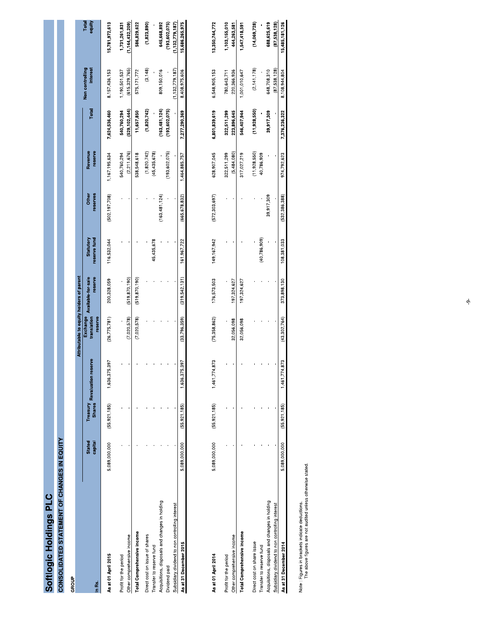| C             |
|---------------|
|               |
| ó             |
| <b>opu</b>    |
|               |
|               |
| $\frac{d}{d}$ |
|               |
|               |
|               |
| <b>Odlc</b>   |
|               |
| Ę             |
|               |
|               |

# **OONSOLIDATED STATEMENT OF CHANGES IN EQUITY**<br>CONSOLIDATED STATEMENT OF CHANGES IN EQUITY

| GROUP                                           |                          |                                       |                   |                                          |                               |                           |                           |                    |                 |                             |                    |
|-------------------------------------------------|--------------------------|---------------------------------------|-------------------|------------------------------------------|-------------------------------|---------------------------|---------------------------|--------------------|-----------------|-----------------------------|--------------------|
|                                                 |                          |                                       |                   | Attributable to equity holders of parent |                               |                           |                           |                    |                 |                             |                    |
| In Rs.                                          | <b>Stated</b><br>capital | Treasury Revaluation<br><b>Shares</b> | reserve           | Exchange<br>translation<br>reserve       | reserve<br>Available-for-sale | reserve fund<br>Statutory | reserves<br><b>Jether</b> | Revenue<br>reserve | Total           | Non controlling<br>interest | Total<br>equity    |
| As at 01 April 2015                             | 5,089,000,000            | (55, 921, 185)                        | 375,397<br>1,636. | (26, 775, 781)                           | 200,328,059                   | 116,532,044               | (502, 197, 708)           | 1,167,195,634      | 7,624,536,460   | 8,157,436,153               | 15,781,972,613     |
| Profit for the period                           |                          |                                       |                   |                                          |                               |                           |                           | 540,760,294        | 540,760,294     | 1,190,501,537               | 1,731,261,831      |
| Other comprehensive income                      |                          |                                       |                   | (7.020.578)                              | (519.870.190)                 |                           |                           | (2,211,676)        | (529, 102, 444) | (615, 329, 765)             | (1, 144, 432, 209) |
| Total Comprehensive income                      |                          |                                       |                   | (7,020,578)                              | (519, 870, 190)               |                           |                           | 538,548,618        | 11,657,850      | 575, 171, 772               | 586,829,622        |
| Direct cost on issue of shares                  |                          |                                       |                   |                                          |                               |                           |                           | (1,820,742)        | (1,820,742)     | (3, 148)                    | (1, 823, 890)      |
| Transfer to reserve fund                        |                          |                                       |                   |                                          |                               | 45,435,678                |                           | (45, 435, 678)     |                 |                             |                    |
| Acquisitions, disposals and changes in holding  |                          |                                       |                   |                                          |                               |                           | (163, 481, 124)           |                    | (163, 481, 124) | 809,150,016                 | 645,668,892        |
| Dividend paid                                   |                          |                                       |                   |                                          |                               |                           |                           | (193, 602, 075)    | (193,602,075)   |                             | (193, 602, 075)    |
| Subsidiary dividend to non controlling interest |                          |                                       |                   |                                          |                               |                           |                           |                    |                 | (1, 132, 779, 187)          | 1,132,779,187)     |
| As at 31 December 2015                          | 5,089,000,000            | (55, 921, 185)                        | 375,397<br>1,636, | (33, 796, 359)                           | (319.542.131)                 | 161,967,722               | (665, 678, 832)           | 1,464,885,757      | 7,277,290,369   | 8,408,975,606               | 15,686,265,975     |
|                                                 |                          |                                       |                   |                                          |                               |                           |                           |                    |                 |                             |                    |

| As at 01 April 2014                             | 5,089,000,000              | (55, 921, 185) | 74,873<br>1,461.  | 75,358,862)  | 176,573,503 | 149, 167, 942 | (572, 303, 697) | 628,907,045 | 6,801,839,619 | 6,548,905,153 | 13,350,744,772 |
|-------------------------------------------------|----------------------------|----------------|-------------------|--------------|-------------|---------------|-----------------|-------------|---------------|---------------|----------------|
| Profit for the period                           |                            |                |                   |              |             |               |                 | 322,511,299 | 322,511,299   | 780,643,711   | ,103,155,010   |
| Other comprehensive income                      |                            |                |                   | 32,056,098   | 197,324,627 |               |                 | (5,484,080) | 223,896,645   | 220,366,936   | 444,263,581    |
| Total Comprehensive income                      |                            |                |                   | 32,056,098   | 197,324,627 |               |                 | 317,027,219 | 546,407,944   | 1,001,010,647 | 1,547,418,591  |
| Direct cost on share issue                      |                            |                |                   |              |             |               |                 | 11,928,550  | 11,928,550)   | (2, 141, 178) | (14,069,728)   |
| Transfer to reserve fund                        |                            |                |                   |              |             | 40,786,909)   |                 | 40,786,909  |               |               |                |
| Acquisitions, disposals and changes in holding  |                            |                |                   |              |             |               | 39,917,309      |             | 39,917,309    | 648,708,310   | 688,625,619    |
| Subsidiary dividend to non controlling interest |                            |                |                   |              |             |               |                 |             |               | (87,538,128)  | (87,538,128)   |
| As at 31 December 2014                          | 5,089,000,000 (55,921,185) |                | 74.873<br>1,461,7 | (43.302.764) | 373,898,130 | 08.381.033    | 532.386.388)    | 974,792,623 | 7376,236,322  | 8,108,944,804 | 15,485,181,126 |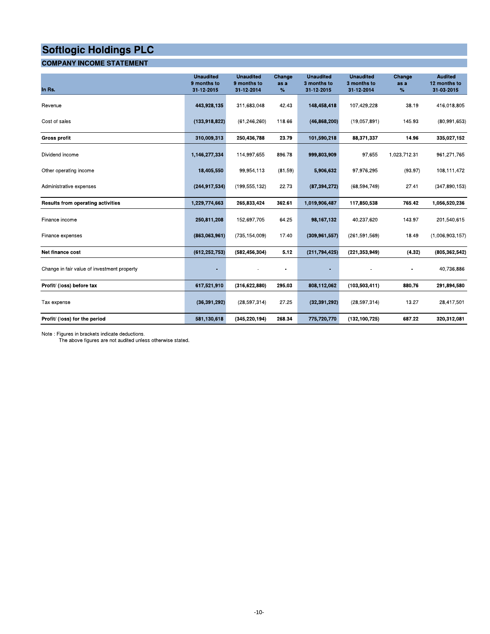# **COMPANY INCOME STATEMENT**

| In Rs.                                      | <b>Unaudited</b><br>9 months to<br>31-12-2015 | <b>Unaudited</b><br>9 months to<br>31-12-2014 | Change<br>as a<br>$\%$ | <b>Unaudited</b><br>3 months to<br>31-12-2015 | <b>Unaudited</b><br>3 months to<br>31-12-2014 | Change<br>as a<br>% | <b>Audited</b><br>12 months to<br>31-03-2015 |
|---------------------------------------------|-----------------------------------------------|-----------------------------------------------|------------------------|-----------------------------------------------|-----------------------------------------------|---------------------|----------------------------------------------|
| Revenue                                     | 443,928,135                                   | 311,683,048                                   | 42.43                  | 148,458,418                                   | 107,429,228                                   | 38.19               | 416,018,805                                  |
| Cost of sales                               | (133,918,822)                                 | (61, 246, 260)                                | 118.66                 | (46, 868, 200)                                | (19,057,891)                                  | 145.93              | (80,991,653)                                 |
| <b>Gross profit</b>                         | 310,009,313                                   | 250,436,788                                   | 23.79                  | 101,590,218                                   | 88,371,337                                    | 14.96               | 335,027,152                                  |
| Dividend income                             | 1,146,277,334                                 | 114,997,655                                   | 896.78                 | 999,803,909                                   | 97,655                                        | 1,023,712.31        | 961,271,765                                  |
| Other operating income                      | 18,405,550                                    | 99,954,113                                    | (81.59)                | 5,906,632                                     | 97,976,295                                    | (93.97)             | 108,111,472                                  |
| Administrative expenses                     | (244, 917, 534)                               | (199, 555, 132)                               | 22.73                  | (87, 394, 272)                                | (68, 594, 749)                                | 27.41               | (347, 890, 153)                              |
| Results from operating activities           | 1,229,774,663                                 | 265,833,424                                   | 362.61                 | 1,019,906,487                                 | 117,850,538                                   | 765.42              | 1.056,520,236                                |
| Finance income                              | 250,811,208                                   | 152,697,705                                   | 64.25                  | 98,167,132                                    | 40,237,620                                    | 143.97              | 201,540,615                                  |
| Finance expenses                            | (863,063,961)                                 | (735, 154, 009)                               | 17.40                  | (309, 961, 557)                               | (261, 591, 569)                               | 18.49               | (1,006,903,157)                              |
| Net finance cost                            | (612, 252, 753)                               | (582, 456, 304)                               | 5.12                   | (211, 794, 425)                               | (221, 353, 949)                               | (4.32)              | (805, 362, 542)                              |
| Change in fair value of investment property |                                               |                                               |                        |                                               |                                               |                     | 40,736,886                                   |
| Profit/ (loss) before tax                   | 617,521,910                                   | (316, 622, 880)                               | 295.03                 | 808,112,062                                   | (103, 503, 411)                               | 880.76              | 291,894,580                                  |
| Tax expense                                 | (36, 391, 292)                                | (28, 597, 314)                                | 27.25                  | (32, 391, 292)                                | (28, 597, 314)                                | 13.27               | 28,417,501                                   |
| Profit/ (loss) for the period               | 581,130,618                                   | (345, 220, 194)                               | 268.34                 | 775,720,770                                   | (132, 100, 725)                               | 687.22              | 320,312,081                                  |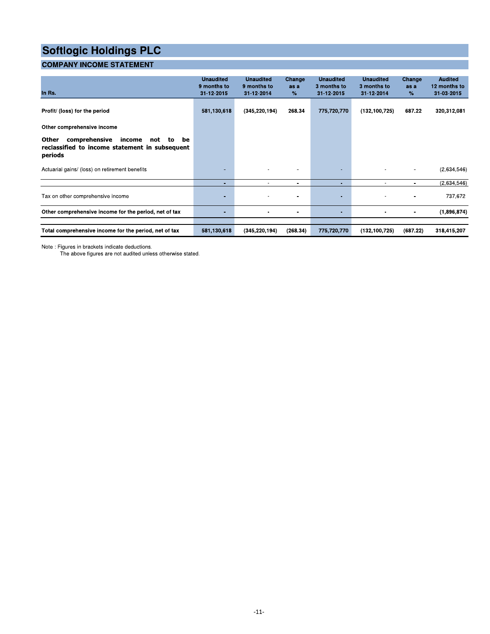# **COMPANY INCOME STATEMENT**

| In Rs.                                                                                                           | <b>Unaudited</b><br>9 months to<br>31-12-2015 | <b>Unaudited</b><br>9 months to<br>31-12-2014 | Change<br>as a<br>$\%$ | <b>Unaudited</b><br>3 months to<br>31-12-2015 | <b>Unaudited</b><br>3 months to<br>31-12-2014 | Change<br>as a<br>% | <b>Audited</b><br>12 months to<br>31-03-2015 |
|------------------------------------------------------------------------------------------------------------------|-----------------------------------------------|-----------------------------------------------|------------------------|-----------------------------------------------|-----------------------------------------------|---------------------|----------------------------------------------|
| Profit/ (loss) for the period                                                                                    | 581,130,618                                   | (345, 220, 194)                               | 268.34                 | 775,720,770                                   | (132, 100, 725)                               | 687.22              | 320,312,081                                  |
| Other comprehensive income                                                                                       |                                               |                                               |                        |                                               |                                               |                     |                                              |
| Other<br>comprehensive<br>income<br>be<br>to<br>not<br>reclassified to income statement in subsequent<br>periods |                                               |                                               |                        |                                               |                                               |                     |                                              |
| Actuarial gains/ (loss) on retirement benefits                                                                   |                                               |                                               |                        | <b>COL</b>                                    |                                               |                     | (2,634,546)                                  |
|                                                                                                                  | ٠                                             | $\sim$                                        | ۰.                     | $\sim$                                        | $\overline{\phantom{a}}$                      | $\blacksquare$      | (2,634,546)                                  |
| Tax on other comprehensive income                                                                                | ٠                                             |                                               |                        | н.                                            |                                               |                     | 737,672                                      |
| Other comprehensive income for the period, net of tax                                                            | ٠                                             |                                               | ۰                      | $\sim$                                        |                                               |                     | (1,896,874)                                  |
| Total comprehensive income for the period, net of tax                                                            | 581,130,618                                   | (345, 220, 194)                               | (268.34)               | 775,720,770                                   | (132, 100, 725)                               | (687.22)            | 318,415,207                                  |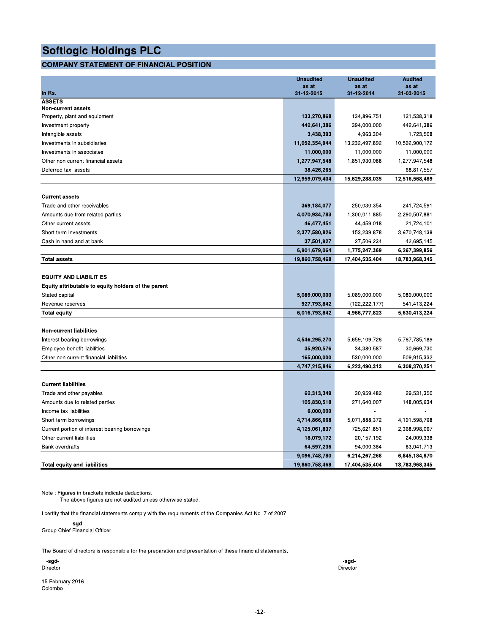# **COMPANY STATEMENT OF FINANCIAL POSITION**

|                                                     | <b>Unaudited</b>    | <b>Unaudited</b>    | <b>Audited</b>      |
|-----------------------------------------------------|---------------------|---------------------|---------------------|
| In Rs.                                              | as at<br>31-12-2015 | as at<br>31-12-2014 | as at<br>31-03-2015 |
| <b>ASSETS</b>                                       |                     |                     |                     |
| <b>Non-current assets</b>                           |                     |                     |                     |
| Property, plant and equipment                       | 133,270,868         | 134,896,751         | 121,538,318         |
| Investment property                                 | 442,641,386         | 394,000,000         | 442,641,386         |
| Intangible assets                                   | 3,438,393           | 4,963,304           | 1,723,508           |
| Investments in subsidiaries                         | 11,052,354,944      | 13,232,497,892      | 10,592,900,172      |
| Investments in associates                           | 11,000,000          | 11,000,000          | 11,000,000          |
| Other non current financial assets                  | 1,277,947,548       | 1,851,930,088       | 1,277,947,548       |
| Deferred tax assets                                 | 38,426,265          |                     | 68,817,557          |
|                                                     | 12,959,079,404      | 15,629,288,035      | 12,516,568,489      |
| <b>Current assets</b>                               |                     |                     |                     |
| Trade and other receivables                         | 369,184,077         | 250,030,354         | 241,724,591         |
| Amounts due from related parties                    | 4,070,934,783       | 1,300,011,885       | 2,290,507,881       |
| Other current assets                                | 46,477,451          | 44,459,018          | 21,724,101          |
| Short term investments                              | 2,377,580,826       | 153,239,878         | 3,670,748,138       |
| Cash in hand and at bank                            | 37,501,927          | 27,506,234          | 42,695,145          |
|                                                     | 6,901,679,064       | 1,775,247,369       | 6,267,399,856       |
| <b>Total assets</b>                                 | 19,860,758,468      | 17,404,535,404      | 18,783,968,345      |
|                                                     |                     |                     |                     |
| <b>EQUITY AND LIABILITIES</b>                       |                     |                     |                     |
| Equity attributable to equity holders of the parent |                     |                     |                     |
| Stated capital                                      | 5,089,000,000       | 5,089,000,000       | 5,089,000,000       |
| Revenue reserves                                    | 927,793,842         | (122, 222, 177)     | 541,413,224         |
| <b>Total equity</b>                                 | 6,016,793,842       | 4,966,777,823       | 5,630,413,224       |
| <b>Non-current liabilities</b>                      |                     |                     |                     |
| Interest bearing borrowings                         | 4,546,295,270       | 5,659,109,726       | 5,767,785,189       |
| Employee benefit liabilities                        | 35,920,576          | 34,380,587          | 30,669,730          |
| Other non current financial liabilities             | 165,000,000         | 530,000,000         | 509,915,332         |
|                                                     | 4,747,215,846       | 6,223,490,313       | 6,308,370,251       |
|                                                     |                     |                     |                     |
| <b>Current liabilities</b>                          |                     |                     |                     |
| Trade and other payables                            | 62,313,349          | 30,959,482          | 29,531,350          |
| Amounts due to related parties                      | 105,830,518         | 271,640,007         | 148,005,634         |
| Income tax liabilities                              | 6,000,000           |                     |                     |
| Short term borrowings                               | 4,714,866,668       | 5,071,888,372       | 4,191,598,768       |
| Current portion of interest bearing borrowings      | 4,125,061,837       | 725,621,851         | 2,368,998,067       |
| Other current liabilities                           | 18,079,172          | 20,157,192          | 24,009,338          |
| <b>Bank overdrafts</b>                              | 64,597,236          | 94,000,364          | 83,041,713          |
|                                                     | 9,096,748,780       | 6,214,267,268       | 6,845,184,870       |
| <b>Total equity and liabilities</b>                 | 19,860,758,468      | 17,404,535,404      | 18,783,968,345      |

Note : Figures in brackets indicate deductions.

The above figures are not audited unless otherwise stated.

I certify that the financial statements comply with the requirements of the Companies Act No. 7 of 2007.

-sgd-Group Chief Financial Officer

The Board of directors is responsible for the preparation and presentation of these financial statements.

-sgd-<br>Director

15 February 2016 Colombo

-sgd-Director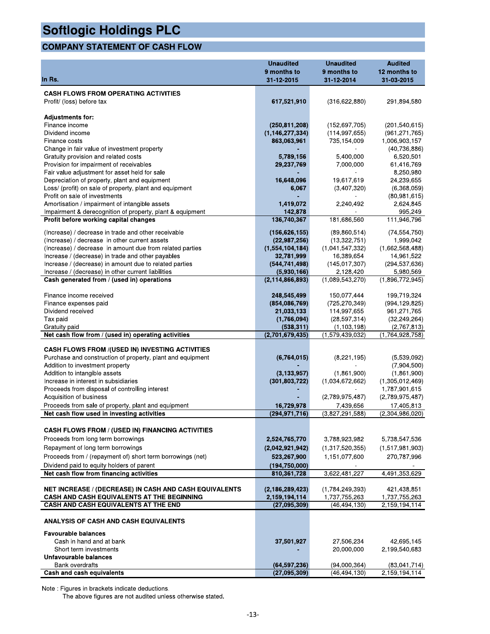# **COMPANY STATEMENT OF CASH FLOW**

| <b>Softlogic Holdings PLC</b>                                                                                |                                       |                                    |                                    |
|--------------------------------------------------------------------------------------------------------------|---------------------------------------|------------------------------------|------------------------------------|
| <b>COMPANY STATEMENT OF CASH FLOW</b>                                                                        |                                       |                                    |                                    |
|                                                                                                              | <b>Unaudited</b><br>9 months to       | <b>Unaudited</b><br>9 months to    | <b>Audited</b><br>12 months to     |
| In Rs.                                                                                                       | 31-12-2015                            | 31-12-2014                         | 31-03-2015                         |
| <b>CASH FLOWS FROM OPERATING ACTIVITIES</b><br>Profit/ (loss) before tax                                     | 617,521,910                           | (316, 622, 880)                    | 291,894,580                        |
| <b>Adjustments for:</b>                                                                                      |                                       |                                    |                                    |
| Finance income<br>Dividend income                                                                            | (250, 811, 208)<br>(1, 146, 277, 334) | (152, 697, 705)<br>(114, 997, 655) | (201, 540, 615)<br>(961, 271, 765) |
| Finance costs                                                                                                | 863,063,961                           | 735,154,009                        | 1,006,903,157                      |
| Change in fair value of investment property                                                                  |                                       |                                    | (40, 736, 886)                     |
| Gratuity provision and related costs                                                                         | 5,789,156                             | 5,400,000                          | 6,520,501                          |
| Provision for impairment of receivables                                                                      | 29,237,769                            | 7,000,000                          | 61,416,769                         |
| Fair value adjustment for asset held for sale                                                                |                                       |                                    | 8,250,980                          |
| Depreciation of property, plant and equipment<br>Loss/ (profit) on sale of property, plant and equipment     | 16,648,096<br>6,067                   | 19,617,619<br>(3,407,320)          | 24,239,655<br>(6,368,059)          |
| Profit on sale of investments                                                                                |                                       |                                    | (80, 981, 615)                     |
| Amortisation / impairment of intangible assets                                                               | 1,419,072                             | 2,240,492                          | 2,624,845                          |
| Impairment & derecognition of property, plant & equipment                                                    | 142,878                               |                                    | 995,249                            |
| Profit before working capital changes                                                                        | 136,740,367                           | 181,686,560                        | 111,946,796                        |
| (Increase) / decrease in trade and other receivable                                                          | (156, 626, 155)                       | (89, 860, 514)                     | (74, 554, 750)                     |
| (Increase) / decrease in other current assets                                                                | (22, 987, 256)                        | (13,322,751)                       | 1,999,042                          |
| (Increase) / decrease in amount due from related parties                                                     | (1,554,104,184)                       | (1,041,547,332)                    | (1,662,568,488)                    |
| Increase / (decrease) in trade and other payables                                                            | 32,781,999                            | 16,389,654                         | 14,961,522                         |
| Increase / (decrease) in amount due to related parties<br>Increase / (decrease) in other current liabilities | (544, 741, 498)<br>(5,930,166)        | (145, 017, 307)<br>2,128,420       | (294, 537, 636)<br>5,980,569       |
| Cash generated from / (used in) operations                                                                   | (2, 114, 866, 893)                    | (1,089,543,270)                    | (1,896,772,945)                    |
|                                                                                                              |                                       |                                    |                                    |
| Finance income received                                                                                      | 248,545,499                           | 150,077,444                        | 199,719,324                        |
| Finance expenses paid                                                                                        | (854,086,769)                         | (725, 270, 349)                    | (994, 129, 825)                    |
| Dividend received                                                                                            | 21,033,133                            | 114,997,655                        | 961,271,765                        |
| Tax paid<br>Gratuity paid                                                                                    | (1,766,094)<br>(538, 311)             | (28, 597, 314)<br>(1, 103, 198)    | (32, 249, 264)<br>(2,767,813)      |
| Net cash flow from / (used in) operating activities                                                          | (2,701,679,435)                       | (1,579,439,032)                    | (1,764,928,758)                    |
|                                                                                                              |                                       |                                    |                                    |
| <b>CASH FLOWS FROM /(USED IN) INVESTING ACTIVITIES</b>                                                       |                                       |                                    |                                    |
| Purchase and construction of property, plant and equipment<br>Addition to investment property                | (6,764,015)                           | (8,221,195)                        | (5,539,092)<br>(7,904,500)         |
| Addition to intangible assets                                                                                | (3, 133, 957)                         | (1,861,900)                        | (1,861,900)                        |
| Increase in interest in subsidiaries                                                                         | (301,803,722)                         | (1,034,672,662)                    | (1,305,012,469)                    |
| Proceeds from disposal of controlling interest                                                               |                                       |                                    | 1,787,901,615                      |
| Acquisition of business                                                                                      |                                       | (2,789,975,487)                    | (2,789,975,487)                    |
| Proceeds from sale of property, plant and equipment                                                          | 16,729,978                            | 7,439,656                          | 17,405,813                         |
| Net cash flow used in investing activities                                                                   | (294, 971, 716)                       | (3,827,291,588)                    | (2,304,986,020)                    |
| <b>CASH FLOWS FROM / (USED IN) FINANCING ACTIVITIES</b>                                                      |                                       |                                    |                                    |
| Proceeds from long term borrowings                                                                           | 2,524,765,770                         | 3,788,923,982                      | 5,738,547,536                      |
| Repayment of long term borrowings                                                                            | (2,042,921,942)                       | (1,317,520,355)                    | (1,517,981,903)                    |
| Proceeds from / (repayment of) short term borrowings (net)                                                   | 523,267,900                           | 1,151,077,600                      | 270,787,996                        |
| Dividend paid to equity holders of parent                                                                    | (194, 750, 000)                       |                                    |                                    |
| Net cash flow from financing activities                                                                      | 810,361,728                           | 3,622,481,227                      | 4,491,353,629                      |
|                                                                                                              |                                       |                                    |                                    |
| NET INCREASE / (DECREASE) IN CASH AND CASH EQUIVALENTS<br>CASH AND CASH EQUIVALENTS AT THE BEGINNING         | (2, 186, 289, 423)<br>2,159,194,114   | (1,784,249,393)<br>1,737,755,263   | 421,438,851<br>1,737,755,263       |
| CASH AND CASH EQUIVALENTS AT THE END                                                                         | (27,095,309)                          | (46, 494, 130)                     | 2,159,194,114                      |
|                                                                                                              |                                       |                                    |                                    |
| ANALYSIS OF CASH AND CASH EQUIVALENTS                                                                        |                                       |                                    |                                    |
| <b>Favourable balances</b>                                                                                   |                                       |                                    |                                    |
| Cash in hand and at bank                                                                                     | 37,501,927                            | 27,506,234                         | 42,695,145                         |
| Short term investments                                                                                       |                                       | 20,000,000                         | 2,199,540,683                      |
| Unfavourable balances                                                                                        |                                       |                                    |                                    |
| <b>Bank overdrafts</b><br>Cash and cash equivalents                                                          | (64, 597, 236)<br>(27,095,309)        | (94,000,364)<br>(46, 494, 130)     | (83,041,714)<br>2,159,194,114      |
|                                                                                                              |                                       |                                    |                                    |
| Note: Figures in brackets indicate deductions.                                                               |                                       |                                    |                                    |
| The above figures are not audited unless otherwise stated.                                                   |                                       |                                    |                                    |
|                                                                                                              |                                       |                                    |                                    |
| $-13-$                                                                                                       |                                       |                                    |                                    |
|                                                                                                              |                                       |                                    |                                    |
|                                                                                                              |                                       |                                    |                                    |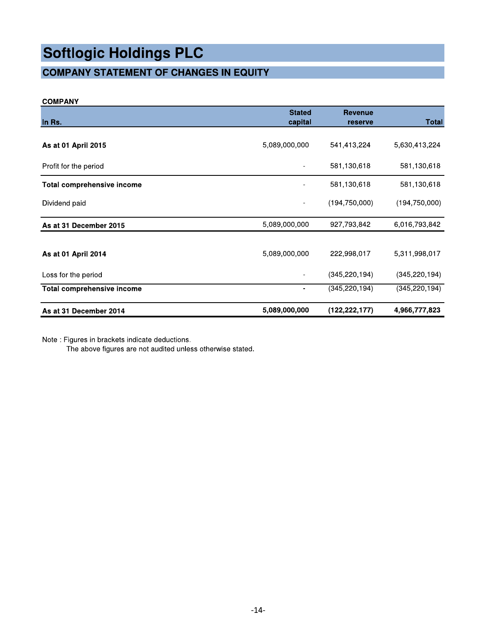# **COMPANY STATEMENT OF CHANGES IN EQUITY**

# **COMPANY**

| In Rs.                            | <b>Stated</b><br>capital | <b>Revenue</b><br>reserve | <b>Total</b>    |
|-----------------------------------|--------------------------|---------------------------|-----------------|
|                                   |                          |                           |                 |
| As at 01 April 2015               | 5,089,000,000            | 541,413,224               | 5,630,413,224   |
| Profit for the period             |                          | 581,130,618               | 581,130,618     |
| <b>Total comprehensive income</b> |                          | 581,130,618               | 581,130,618     |
| Dividend paid                     |                          | (194, 750, 000)           | (194, 750, 000) |
| As at 31 December 2015            | 5,089,000,000            | 927,793,842               | 6,016,793,842   |
|                                   |                          |                           |                 |
| As at 01 April 2014               | 5,089,000,000            | 222,998,017               | 5,311,998,017   |
| Loss for the period               |                          | (345, 220, 194)           | (345, 220, 194) |
| <b>Total comprehensive income</b> |                          | (345,220,194)             | (345,220,194)   |
| As at 31 December 2014            | 5,089,000,000            | (122, 222, 177)           | 4,966,777,823   |

Note : Figures in brackets indicate deductions.

The above figures are not audited unless otherwise stated.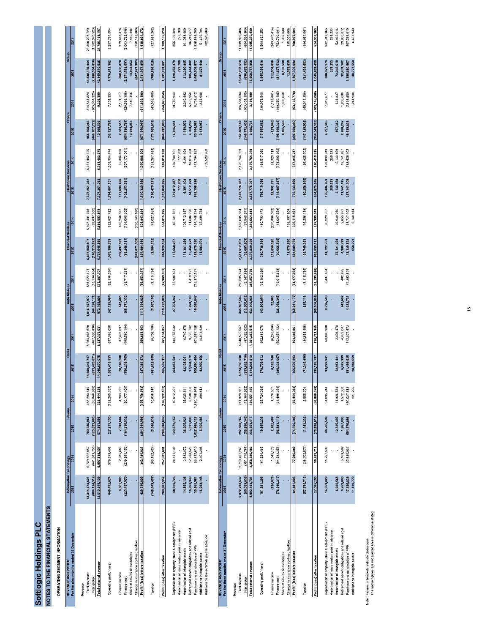# Softlogic Holdings PLC<br>NOTES TO THE FINANCIAL STATEMENTS

OPERATING SEGMENT INFORMATION

| REVENUE AND PROFIT                                | Information Technology |                 | Leisure         |                 | Retail          |                 | <b>Auto Mobiles</b> |                | <b>Financial Services</b> |               | <b>Healthcare Services</b> |                 | <b>Others</b>   |                 | Group              |                 |
|---------------------------------------------------|------------------------|-----------------|-----------------|-----------------|-----------------|-----------------|---------------------|----------------|---------------------------|---------------|----------------------------|-----------------|-----------------|-----------------|--------------------|-----------------|
| For the nine months ended 31 December             | 2015                   | 2014            | 2015            | 2014            | 2015            | 2014            | 2015                | 2014           | 2015                      | 2014          | 2015                       | 2014            | 2015            | 2014            | 2015               | 2014            |
| Revenue                                           |                        |                 |                 |                 |                 |                 |                     |                |                           |               |                            |                 |                 |                 |                    |                 |
| Total revenue                                     | 13,314,673,621         | 6,739,522,057   | 700,486,961     | 388,293,515     | 14,660,346,747  | 8,994,965,929   | 1,016,497,972       | 591,022,171    | 6,873,960,807             | 5,978,401,349 | 7,307,261,052              | 6,361,482,375   | 456,968,284     | 314,541,324     | 44,330,195,444     | 29,368,228,720  |
| Inter group                                       | (804, 124, 512)        | (641, 683, 750) | (125, 633, 863) | (55, 848, 986)  | (613, 476, 671) | (467, 590, 898) | (44,328,171)        | (18, 734, 464) | (146, 313, 822)           | (92,897,500)  |                            |                 | (446,707,779)   | 305,314,925)    | (2, 180, 584, 818) | (1,582,070,523) |
| Total external revenue                            | 12.510.549.109         | 6.097.838.307   | 574,853,098     | 332.444.529     | 14,046,870,076  | 8,527,375,031   | 972, 169, 801       | 572.287.707    | 6.727.646.985             | 5.885.503.849 | 7,307,261,052              | 6.361.482.375   | 10,260,505      | 9.226.399       | 42,149,610,626     | 27,786,158,197  |
| Operating profit/ (loss)                          | 649,472,874            | 579,339,498     | (27,213,150)    | (131, 285, 357) | 1,363,418,533   | 697,965,050     | (47, 125, 984)      | (28, 136, 036) | 1,076,106,739             | 622,821,422   | 1,794,881,151              | 1,509,954,474   | (32, 727, 781)  | 7,101,953       | 4,776,812,382      | 3,257,761,004   |
| Finance income                                    | 3,301,905              | 2,385,680       | 7,693,684       | 4,903,791       | 20,188,208      | 37,476,697      | 142,488             |                | 709,497,591               | 865,246,597   | 117,693,426                | 67,304,896      | 2,083,518       | 2,171,717       | 860,600,820        | 979,489,378     |
| Finance cost                                      | (223, 437, 970)        | (239, 241, 153) | (184, 830, 532) | (50, 377, 406)  | 756,239,769)    | 465,580,184)    | (66, 571, 333)      | (38,717,281)   | (83, 248, 111)            | 134,080,305)  | (402,253,591)              | (507,173,061)   | 654,936,787     | 628,593,306)    | 2,371,518,093      | 2,063,762,696   |
| Share of results of associates                    |                        |                 |                 |                 |                 |                 |                     |                |                           |               |                            |                 | 13,934,053      | 7,480,446       | 13,934,053         | 7,480,446       |
| Change in insurance contract liabilities          |                        |                 |                 |                 |                 |                 |                     |                | (847, 871, 303)           | (750.143.860) |                            |                 |                 |                 | (847, 871, 303)    | 750, 143, 860   |
| Profit/ (loss) before taxation                    | 429,336,809            | 342,484,025     | (204, 349, 998) | (176, 758, 972) | 627,366,972     | 269,861,563     | (113, 554, 829)     | (66, 853, 317) | 854,484,916               | 603,843,854   | 1,510,320,986              | ,070,086,309    | (671, 646, 997) | (611, 839, 190) | 2,431,957,859      | 1,430,824,272   |
| Taxation                                          | (148, 449, 457)        | (85, 152, 424)  | (5,548,639)     | 10,636,810      | (161, 829, 855) | (8,706,706)     | (5,667,195)         | (1, 115, 734)  | (9,564,752)               | (49,027,859)  | (196, 470, 291)            | (151, 267, 489) | (173, 165, 839) | (43,035,860)    | (700, 696, 028)    | (327, 669, 262) |
| Profit/ (loss) after taxation                     | 280,887,352            | 257,331,601     | (209, 898, 637) | (166, 122, 162) | 465,537,117     | 261.154.857     | (119, 222, 024)     | (67.969.051)   | 844,920,164               | 554,815,995   | 1,313,850,695              | 918,818,820     | (844, 812, 836) | (654,875,050)   | 1,731,261,831      | 1,103,155,010   |
| Depreciation of property, plant & equipment (PPE) | 48,320,724             | 28,411,109      | 129,872,152     | 80,012,221      | 264,053,581     | 134,155,032     | 27,704,207          | 15,930,461     | 113,668,287               | 83,131,561    | 519,812,987                | 193,709,101     | 16,826,441      | 19,752,943      | ,120,258,379       | 855, 102, 428   |
| Amortisation of lease rentals paid in advance     |                        |                 |                 |                 |                 |                 |                     |                |                           |               | 777,700                    | 777,700         |                 |                 | 777,700            | 777,700         |
| Amortisation of intangible assets                 | 14,855,106             | 3,382,872       | 36,205,924      | 35,620,641      | 42,138,041      | 6,740,370       |                     |                | 11,381,294                | 106,712,617   | 6,391,408                  | 6,391,408       | 1,419,072       | 2.240,492       | 212,390,845        | 61,088,400      |
| Retirement benefit obligations and related cost   | 14,823,330             | 12,234,520      | 5,611,000       | 3,238,000       | 17,334,272      | 9,773,702       | 1,898,190           | 1,419,127      | 15,460,672                | 11,086,720    | 14,512,699                 | 43,016,658      | 6,004,239       | 5,479,950       | 105,644,402        | 86,248,677      |
| Purchase and construction of PPE                  | 30,955,961             | 55,312,610      | ,627,968,128    | 1,660,786,949   | 906,690,404     | 301,567,156     | 19,080,847          | 215,973,177    | 169,870,380               | 64,746,224    | 578,196,896                | 129,794,652     | 50,744,061      | 8,703,512       | 3,483,506,677      | 2,836,884,280   |
| Additions to intangible assets                    | 16,928,148             | 2,401,398       | 6,405,486       | 304,813         | 12,902,156      | 14,814,939      |                     |                | 11,903,701                | 32,309,734    |                            |                 | 3,133,957       | .861,900        | 81,273,448         | 51,692,784      |
| Additions to lease rentals paid in advance        |                        |                 |                 |                 |                 |                 |                     |                |                           |               |                            | 702.520,660     |                 |                 |                    | 702,520,660     |
|                                                   |                        |                 |                 |                 |                 |                 |                     |                |                           |               |                            |                 |                 |                 |                    |                 |
| <b>REVENUE AND PROFIT</b>                         | Information Technology |                 | Leisure         |                 | Retail          |                 | <b>Auto Mobiles</b> |                | <b>Financial Services</b> |               | <b>Healthcare Services</b> |                 | <b>Others</b>   |                 | Group              |                 |

| <b>REVENUE AND PROFIT</b>                         | Information Technology |                 | Leisure        |                | Retail          |                | <b>Auto Mobiles</b> |                | <b>Financial Services</b> |                 | <b>Healthcare Services</b> |               | <b>Others</b>   |                | Group           |                 |
|---------------------------------------------------|------------------------|-----------------|----------------|----------------|-----------------|----------------|---------------------|----------------|---------------------------|-----------------|----------------------------|---------------|-----------------|----------------|-----------------|-----------------|
| For the three months ended 31 December            | 2015                   | 2014            | 2015           | 2014           | 2015            | 2014           | 2015                | 2014           | 2015                      | 2014            | 2015                       | 2014          | 2015            | 2014           | 2015            | 2014            |
|                                                   |                        |                 |                |                |                 |                |                     |                |                           |                 |                            |               |                 |                |                 |                 |
| Revenue                                           |                        |                 |                |                |                 |                |                     |                |                           |                 |                            |               |                 |                |                 |                 |
| Total revenue                                     | 5,072,233,537          | 2,710,457,263   | 292,303,762    | 211,920,987    | 5,674,730,530   | 1,348,577,567  | 445,807,543         | 290,005,674    | 2,411,512,902             | 856,605,384     | 2,597,776,067              | 2,175,764,029 | 152,869,169     | 106,594,504    | 16,647,233,510  | 1,699,925,408   |
| Inter group                                       | (80,039,836)           | (351, 770, 781) | (58,950,345)   | (19,369,562)   | (359, 828, 718) | (87, 325, 052) | (12,500,612)        | (5, 147, 898)  | (35, 683, 603)            | (37,540,571)    |                            |               | (149, 472, 438) | 103,401,105)   | (696, 475, 552) | (604, 554, 969) |
| Total external revenue                            | 4,992,193,701          | 2,358,686,482   | 233,353,417    | 192,551,425    | 5,314,901,812   | 4,261,252,515  | 433,306,931         | 284,857,776    | 2,375,829,299             | 1,819,064,813   | 2,597,776,067              | 2,175,764,029 | 3,396,731       | 3,193,399      | 15,950,757,958  | 11,095,370,439  |
|                                                   |                        |                 |                |                |                 |                |                     |                |                           |                 |                            |               |                 |                |                 |                 |
| Operating profit/ (loss)                          | 161,921,296            | 161,524,465     | 19,165,236     | (29, 724, 029) | 578,709,612     | 362,683,070    | (43,904,894)        | (35, 162, 326) | 380,738,934               | 480,703,473     | 766,719,096                | 493,517,060   | (17, 955, 662)  | 136,079,540    | 1,845,393,618   | 1,569,621,253   |
| Finance income                                    | (130, 076)             | 1,045,175       | 2,262,497      | 1,778,301      | 8,128,748       | (6,245,086)    | 32,063              |                | 219,838,520               | (270, 808, 062) | 82,902,731                 | 31,929,119    | (129, 845)      | (1,169,861)    | 312,904,638     | 243,470,414     |
| Finance cost                                      | (76, 910, 217)         | (84, 583, 351)  | (96, 883, 119) | (31, 498, 354) | (280, 331, 067) | 203,054,123)   | (26,058,346)        | (16,015,638)   | (20,066,525)              | (41,087,558)    | 114,487,937                | (178,200,962) | 196,940,321     | 199,350,105)   | 811,677,532     | 753,790,091     |
| Share of results of associates                    |                        |                 |                |                |                 |                |                     |                |                           |                 |                            |               | 8,105,538       | 1,306,648      | 8,105,538       | 1,306,648       |
| Change in insurance contract liabilities          |                        |                 |                |                |                 |                |                     |                | 12,578,830                | 135.307.608     |                            |               |                 |                | 12,578,830      | 135,307,608     |
| Profit/ (loss) before taxation                    | 84,881,003             | 77,986,289      | (75,455,386)   | (59,444,082    | 306,507,293     | 153,383,861    | (69, 931, 177)      | (51, 177, 964) | 593,089,759               | 304,115,461     | 735,133,890                | 347,245,217   | (206, 920, 290) | (63, 133, 778) | 1,367,305,092   | 708,975,004     |
| Taxation                                          | (57, 795, 713)         | (38, 702, 577)  | (1,483,232)    | 2,555,704      | (71, 343, 496)  | (34, 661, 906) | 825,118             | (1, 115, 734)  | 35,749,353                | (16, 206, 118)  | (80, 258, 645)             | (56,825,702)  | (147, 129, 038) | (40, 011, 308) | (321, 435, 653) | (184, 967, 641) |
| Profit/ (loss) after taxation                     | 27,085,290             | 39,283,712      | (76,938,618)   | (56,888,378)   | 235, 163, 797   | 118,721,955    | (69, 106, 059)      | (52, 293, 698) | 628,839,112               | 287,909,343     | 654,875,245                | 290,419,515   | (354, 049, 328) | 103, 145, 086) | 1,045,869,439   | 524,007,363     |
|                                                   |                        |                 |                |                |                 |                |                     |                |                           |                 |                            |               |                 |                |                 |                 |
| Depreciation of property, plant & equipment (PPE) | 16,359,029             | 14,757,506      | 44,205,596     | 51,095,244     | 93,224,941      | 60,880,938     | 9,726,590           | 8,437,484      | 41,722,763                | 30,229,767      | 76,406,909                 | 69,899,349    | 5,727,346       | 7,019,677      | 388,373,174     | 342,319,965     |
| Amortisation of lease rentals paid in advance     |                        |                 |                |                |                 |                |                     |                |                           |                 | 259,233                    | 259,233       |                 |                | 259,233         | 259,233         |
| Amortisation of intangible assets                 | 6,660,568              |                 | 12,325,497     | 11,826,584     | 12,951,421      | 2,404,470      |                     |                | 37,121,294                | 36,939,256      | 2,130,468                  | 2,130,469     | 857,362         | 631,837        | 72,046,610      | 53,932,616      |
| Retirement benefit obligations and related cost   | 4,953,040              | 5,169,592       | 1,867,000      | 1,572,000      | 6,427,999       | 4,478,047      | 942,602             | 482,875        | 4,380,799                 | 2,655,67        | 1,541,415                  | 13,741,887    | 2,288,247       | ,800,000       | 32,401,102      | 29,900,072      |
| Purchase and construction of PPE                  | 17,396,838             | 32,630,937      | 604,970,898    | 490,037,513    | 191,499,525     | 12,372,473     | 1,222,731           | 47,392,674     | 12,129,628                | 38,737,102      | 287,141,109                | 83,429,402    | 48,519,838      | ,636,509       | ,195,880,567    | 907,236,610     |
| Additions to intangible assets                    | 11,130,770             |                 |                | 221,226        | 28,984,059      |                |                     |                | 658,721                   | 5,168,814       |                            |               |                 | ,241,900       | 40,773,550      | 6,631,940       |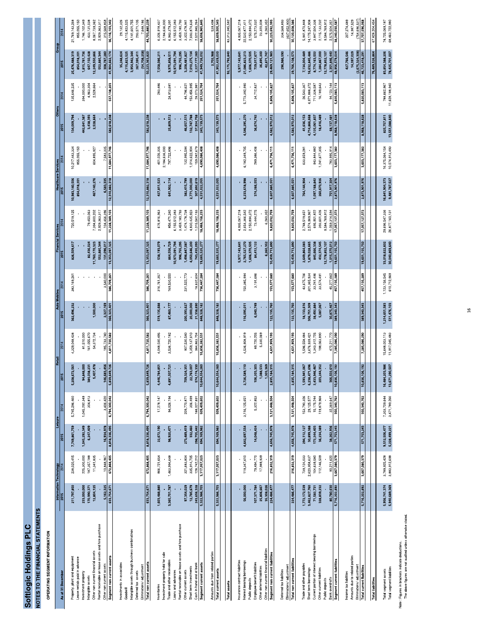# NOTES TO THE FINANCIAL STATEMENTS

OPERATING SEGMENT INFORMATION

|                                                                       |                                |                                | Leisure                        |                                | Retail                           |                                  | <b>Auto Mobiles</b>          |                              |                                  |                                  | <b>Healthcare Services</b>      |                                  | Others                        |                               |                                  |                                  |
|-----------------------------------------------------------------------|--------------------------------|--------------------------------|--------------------------------|--------------------------------|----------------------------------|----------------------------------|------------------------------|------------------------------|----------------------------------|----------------------------------|---------------------------------|----------------------------------|-------------------------------|-------------------------------|----------------------------------|----------------------------------|
| As at 31 December                                                     | Information Technology<br>2015 |                                | 2015                           |                                | $\overline{5}$                   |                                  | <b>ROZ</b>                   |                              | <b>Financial Services</b><br>ត្ត |                                  | 2015                            |                                  | 2015                          |                               | Group<br>2015                    | 2014                             |
|                                                                       |                                |                                |                                |                                |                                  |                                  |                              |                              |                                  |                                  |                                 |                                  |                               |                               |                                  |                                  |
| Property, plant and equipment                                         | 211,797,850                    | 238,020,415                    | 7,749,861,759                  | 5,745,296,460                  | 5,208,672,561                    | 4,329,048,438                    | 362,496,232                  | 383,169,261                  | 826,509,617                      | 720,519,125                      | 10,983,140,506                  | 10,217,443,334                   | 134,009,794                   | 135,646,235                   | 25,476,488,319                   | 21,769,143,268                   |
| Lease rentals paid in advance                                         |                                |                                |                                |                                |                                  |                                  |                              |                              |                                  |                                  | 854,018,201                     | 855,055,150                      |                               |                               | 854,018,201                      | 855,055,150                      |
| Investment property                                                   | 233,000,000                    | 225,300,000                    | 1,045,292,349                  | 1,045,292,349                  | 94,848,000                       | 81,510,000                       |                              |                              |                                  |                                  |                                 |                                  | 442,641,387                   | 394,000,000                   | 1,815,781,736                    | 1,746,102,349                    |
| Intangible assets                                                     | 170,990,37                     | 187,357,188                    | 6,247,409                      | 304,813                        | 384,038,231                      | 161,055,670                      |                              |                              | 82,436,024                       | 79,450,063                       |                                 |                                  | 3,438,393                     | 4,963,304                     | 647,150,428                      | 433,131,038                      |
| Other non current financial assets                                    | 12,804,125                     | 11,341,835                     |                                |                                | 5,407,478                        | 54,372,734                       | 1,500,000                    |                              | 11,760,170,323                   | 7,394,600,202                    | 467,140,276                     | 604,895,927                      | 2,528,664                     | 2,528,664                     | 12,249,550,866                   | 8,067,739,362                    |
| Rental receivable on lease assets and hire purchase                   |                                |                                |                                |                                |                                  |                                  |                              |                              | 552,885,344                      | 2,929,363,317                    |                                 |                                  |                               |                               | 552,885,344                      | 2,929,363,317                    |
| Other non current assets                                              |                                |                                |                                |                                |                                  | 185,733,740                      |                              | 3,540,000                    |                                  | 104.456.396                      |                                 |                                  |                               |                               | 308,787,280                      | 315 568 858                      |
| Segment non current assets                                            | 5,162,325<br>633,754,671       | 10,848,967<br>672,868,405      | 16,934,978<br>8,818,336,495    | $3,406,420$<br>6,794,300,042   | 146,683,456<br>5,839,649,726     | 4,811,720,582                    | 2,327,169<br>366,323,401     | 386,709,261                  | 131,096,017<br>13,353,097,325    | 11,228,389,103                   | 6,583,335<br>12,310,882,318     | 7,583,335<br>11,684,977,746      | 582,618,238                   | 537,138,203                   | 41,904,662,174                   | 36,116,103,342                   |
|                                                                       |                                |                                |                                |                                |                                  |                                  |                              |                              |                                  |                                  |                                 |                                  |                               |                               |                                  |                                  |
| Investments in associates                                             |                                |                                |                                |                                |                                  |                                  |                              |                              |                                  |                                  |                                 |                                  |                               |                               | 35,248,624                       | 29, 132, 326                     |
| Goodwill                                                              |                                |                                |                                |                                |                                  |                                  |                              |                              |                                  |                                  |                                 |                                  |                               |                               | 4,115,823,525                    | 4,115,823,525                    |
| Intangible assets through business combinatinos                       |                                |                                |                                |                                |                                  |                                  |                              |                              |                                  |                                  |                                 |                                  |                               |                               | 3,954,942,344                    | 4,141,601,755                    |
| Deferred tax assets                                                   |                                |                                |                                |                                |                                  |                                  |                              |                              |                                  |                                  |                                 |                                  |                               |                               | 267,395,411                      | 293,571,105                      |
| Eliminations/ adjustment                                              |                                |                                |                                |                                |                                  |                                  |                              |                              |                                  |                                  |                                 |                                  |                               |                               | (54,708,258                      | 7,648,186                        |
| Total non current assets                                              | 633,754,671                    | 672,868,405 8,818,336,495      |                                | 6,794,300,042                  | 49,726<br>5,839,64               | 4,811,720,582                    | 366,323,401                  | 386,709,261                  | 13,353,097,325                   | 11,228,389,103                   | 12,310,882,318                  | 11,684,977,746                   | 582,618,238                   |                               | 50,223,363,820                   | 44,703,880,239                   |
|                                                                       |                                |                                |                                |                                |                                  |                                  |                              |                              |                                  |                                  |                                 |                                  |                               |                               |                                  |                                  |
| Inventories                                                           | 1,603,488,880                  | 866,721,654                    | 22,672,190                     | 17,278,147                     | 4,446,784,851                    | 4,048,030,495                    | 519,135,688                  | 316,761,357                  | 538,193,079                      | 676,816,963                      | 427,811,523                     | 401,026,335                      |                               | 283,486                       | 7,558,086,21                     | 6,326,918,437                    |
| Investment property held for sale                                     |                                |                                |                                |                                |                                  |                                  |                              |                              |                                  |                                  |                                 | 2,184,636,000                    |                               |                               |                                  | 2,184,636,000                    |
| Trade and other receivables                                           | 3,365,701,787                  | 1,463,994,648                  | 98,920,471                     | 94,026,194                     |                                  | 3,536,720,182                    |                              |                              | 864,556,729                      | 856,471,240                      |                                 | 797,722,896                      | 25,809,512                    | 24,913,681                    | 9,975,858,511                    | 6,943,379,391                    |
|                                                                       |                                |                                |                                |                                | 4,891,507,721                    |                                  | 87,460,177                   | 169,530,550                  |                                  |                                  | 641,902,114                     |                                  |                               |                               |                                  |                                  |
| Loans and advances                                                    |                                |                                |                                |                                |                                  |                                  |                              |                              | 10,973,091,794                   | 6,155,512,383                    |                                 |                                  |                               |                               | 10,973,091,794                   | 6,155,512,383                    |
| Rental receivable on lease assets and hire purchase                   |                                |                                |                                |                                |                                  |                                  |                              |                              | 996,755,295                      | 3,459,180,793                    |                                 |                                  |                               |                               | 996,755,295                      | 3,459,180,793                    |
| Other current assets                                                  | 97,354,029                     | 321,683,804                    | 273,489,419                    | 209,770,871                    | 709,324,351                      | 907,530,540                      | 200,393,627                  | 231,522,773                  | 1,498,847,087                    | 1,474,178,738                    | 382,415,799                     | 132,995,594                      | 46,657,515                    | 44,796,621                    | 3,208,481,827                    | 3,322,478,941                    |
| Short term investments                                                | 12,785,679                     | 335,914,705                    | 332,460                        | 306,499                        | 22,763,007                       | 1,359,137,610                    | 20,000,000                   |                              | 4,050,646,200                    | 4,830,435,923                    | 2,771,000,000                   | 1,014,622,904                    | 132,747,788                   | 153,456,995                   | 7,010,275,134                    | 7,693,874,636                    |
| Cash in hand and at bank                                              | 243,656,328                    | 128,742,212                    | 298,755,442                    | 188,027,891                    | 574,174,330                      | 984,863,704                      | 21,338,690                   | 18,632,604                   | 743,435,093                      | 1,015,562,193                    | 307,892,619                     | 159,082,679                      | 37,924,758                    | 28,073.981                    | 2,227,177,260                    | 2,522,985,264                    |
|                                                                       |                                | 3,117,057,023                  |                                | 509,409,602                    |                                  | 10,836,282,531                   | 848,328,182                  | 736,447,284                  |                                  | 18,468,158,233                   | 4,531,022,055                   | 4,690,086,408                    | 243,139,573                   | 251,524,764                   |                                  | 38,608,965,845                   |
| Segment current assets                                                | 5,322,986,703                  |                                | 694,169,982                    |                                | 10,644,554,260                   |                                  |                              |                              | 19,665,525,277                   |                                  |                                 |                                  |                               |                               | 41,949,726,032                   |                                  |
| Amounts due from related parties                                      |                                |                                |                                |                                |                                  |                                  |                              |                              |                                  |                                  |                                 |                                  |                               |                               |                                  |                                  |
| Total current assets                                                  | 5,322,986,703                  | 3,117,057,023                  | 694,169,982                    | 509,409,602                    | 10,644,554,260                   | 10,836,282,531                   | 848,328,182                  | 736,447,284                  | 19,665,525,277                   | 18,468,158,233                   | 4,531,022,055                   | 4,690,086,408                    | 243, 139, 573                 | 251,524,764                   | 2,702,988<br>41,952,429,020      | 539,498<br>38,609,505,343        |
|                                                                       |                                |                                |                                |                                |                                  |                                  |                              |                              |                                  |                                  |                                 |                                  |                               |                               |                                  |                                  |
| <b>Total assets</b>                                                   |                                |                                |                                |                                |                                  |                                  |                              |                              |                                  |                                  |                                 |                                  |                               |                               | 92,175,792,840                   | 83,313,385,58                    |
|                                                                       |                                |                                |                                |                                |                                  |                                  |                              |                              |                                  |                                  |                                 |                                  |                               |                               |                                  |                                  |
| Insurance contract liabilities                                        |                                |                                |                                |                                |                                  |                                  |                              |                              | 5,977,143,641                    | 4,935,067,218                    |                                 |                                  |                               |                               | 5,977,143,641                    | 4,935,067,218                    |
| Interest bearing borrowings                                           | 56,000,000                     | 119,347,610                    | 4,642,697,554                  | 3, 116, 125, 651               | 2,726,589,110                    | 4,536,908,919                    | 116,095,011                  | 150,385,994                  | 2,765,527,270                    | 2,654,366,542                    | 6,233,618,998                   | 6,182,349,705                    | 4,546,295,270                 | 5,773,392,990                 | 21,086,823,213                   | 22,532,877,411                   |
| Public deposits                                                       |                                |                                |                                |                                |                                  |                                  |                              |                              | 1,606,370,505                    | 2,150,894,372                    |                                 |                                  |                               |                               | 1,606,370,505                    | 2,150,894,372                    |
| Employee benefit liabilities                                          | 107,371,784                    | 79,494,770                     | 14,048,424                     | 5,322,853                      | 106,203,303                      | 89,720,205                       | 6,040,749                    | 3,191,686                    | 84,412,122                       | 73,444,275                       | 374,266,553                     | 289,386,406                      | 36,674,742                    | 34,712,837                    | 729,017,677                      | 575,273,032                      |
|                                                                       |                                |                                |                                |                                |                                  |                                  |                              |                              |                                  |                                  |                                 |                                  |                               |                               |                                  |                                  |
| Other non current financial liabilities<br>Other deferred liabilities | 25,806,667                     | 17,989,939                     |                                |                                | 1,088,533                        | 5,330,069                        |                              |                              |                                  | 6.260.352                        |                                 |                                  |                               |                               | 26,895,200<br>42,871,747         | 23,320,008<br>2 9 G D 9 5 2      |
| Segment non current liabilities                                       | 35,308,026<br>224,486,477      | 216,832,319                    | 4,656,745,978                  | 3,121,448,504                  | 1,303,369<br>2,835,184,315       | 4,631,959,193                    | 122, 135, 760                | 153,577,680                  | 6,260,352<br>10,439,713,890      | 9,820,032,759                    | 6,607,885,55                    | 6,471,736,111                    | 4,582,970,012                 | 5,808,105,827                 | 29,469,121,983                   | 30,223,692,393                   |
|                                                                       |                                |                                |                                |                                |                                  |                                  |                              |                              |                                  |                                  |                                 |                                  |                               |                               |                                  |                                  |
| Deferred tax liabilities                                              |                                |                                |                                |                                |                                  |                                  |                              |                              |                                  |                                  |                                 |                                  |                               |                               | 296,986,590                      | 334,568,893                      |
| Eliminations/ adjustment                                              |                                |                                |                                |                                |                                  |                                  |                              |                              |                                  |                                  |                                 |                                  |                               |                               |                                  | (437,652,900)                    |
| Total non current liabilities                                         | 224,486,477                    | 216,832,319                    | 4,656,745,978                  | 3,121,448,504                  | 2,835,184,315                    | 4,631,959,193                    | 122, 135, 760                | 153,577,680                  | 10,439,713,890                   | 9,820,032,759                    | 6,607,885,551                   | 6,471,736,111                    | 4,582,970,012                 | 5,808,105,827                 | 29,766,108,573                   | 30,120,608,386                   |
|                                                                       |                                |                                |                                |                                |                                  |                                  |                              |                              |                                  |                                  |                                 |                                  |                               |                               |                                  |                                  |
| Trade and other payables                                              | 1,772,172,539                  | 739,124,033                    | 294, 112, 127                  | 153,790,326                    | 1,593,941,067                    | 1,596,558,484                    | 18,133,616                   | 43,675,706                   | 2,649,864,083                    | 2,748,519,651                    | 764,144,904                     | 633,659,28                       | 41,636,153                    | 26,543,367                    | 7,134,004,489                    | 5,941,870,848                    |
| Short term borrowings                                                 | 3,462,827,760                  | 2,620,958,637                  | 30,899,388                     | 29,125,577                     | 6,238,471,696                    | 3,676,939,421                    | 306,751,309                  | 301,365,934                  | 1,879,028,665                    | 2,574,969,967                    |                                 |                                  | 4,714,866,668                 | 4,971,888,372                 | 6,632,845,486                    | 14,175,247,908                   |
| Current portion of interest bearing borrowings                        | 71,582,731                     | 104,639,580                    | 172,244,403                    | 15, 175, 244                   | 2,433,946,467                    | 1,343,312,725                    | 28,492,884                   | 33,241,496                   | 845,666,338                      | 695,951,822                      | 1,097,168,842                   | 943,844,882                      | 4,125,061,837                 | 711,338,587                   | 8,774,163,502                    | 3,847,504,336                    |
| Other current liabilities                                             | 328,839,232                    | 112,146,509                    | 36,234,389                     | 119,879,968                    | 203,244,352                      | 198,063,890                      | 5,087,067                    | 33,574,491                   | 432,374,545                      | 393,601,426                      | 260,670,926                     | ,241,677,305                     | 18,416,489                    | 16,189,643                    | 1,284,867,000                    | 2,115,133,232                    |
| Public deposits                                                       |                                |                                |                                |                                |                                  |                                  |                              |                              | 12,778,852,107                   | 9,584,769,912                    |                                 |                                  |                               |                               | 12,778,852,107                   | 9,584,769,912                    |
| Bank overdrafts                                                       | 80,780,630<br>5,716,202,892    | 90,211,620                     | 38,262,936<br>571,753,243      | 32,369,647                     | 366,502,610<br>10,836,106,192    | 470,211,770                      | 30,875,467<br>389,340,343    | 45,277,662                   | 1,015,370,012                    | .059.314.594                     | 751,917,304                     | 783,995,914                      | 68,137,481<br>8,968,118,628   | 94.123.144                    | 2,351,846,440                    | 2575.504.351                     |
| Segment current liabilities                                           |                                | 3,667,080,379                  |                                | 350,340,762                    |                                  | 7,285,086,290                    |                              | 457, 135, 289                | 19,601,155,750                   | 17,057,127,372                   | 2,873,901,976                   | 3,603,177,382                    |                               | 5,820,083,113                 | 48,956,579,024                   | 88,240,030,587                   |
| Income tax liabilities                                                |                                |                                |                                |                                |                                  |                                  |                              |                              |                                  |                                  |                                 |                                  |                               |                               | 427,766,546                      | 207,274,489                      |
| Amounts due to related parties                                        |                                |                                |                                |                                |                                  |                                  |                              |                              |                                  |                                  |                                 |                                  |                               |                               | 14,397,029                       | 14,987,529                       |
| Eliminations/adjustment                                               |                                |                                |                                |                                |                                  |                                  |                              |                              |                                  |                                  |                                 |                                  |                               |                               | (2, 675, 324, 308                | (754,696,537                     |
| <b>Total current liabilities</b>                                      | 5,716,202,892                  | 3,667,080,379                  | 571,753,243                    | 350,340,762                    | 06,192<br>10,836,1               | 7,285,086,290                    | 389,340,343                  | 457,135,289                  | 19,601,155,750                   | 17,057,127,372                   | 2,873,901,976                   | 3,603,177,382                    | 8,968,118,628                 | 5,820,083,113                 | 46,723,418,291                   | 37,707,596,068                   |
|                                                                       |                                |                                |                                |                                |                                  |                                  |                              |                              |                                  |                                  |                                 |                                  |                               |                               |                                  |                                  |
| <b>Total liabilities</b>                                              |                                |                                |                                |                                |                                  |                                  |                              |                              |                                  |                                  |                                 |                                  |                               |                               | 76,489,526,864                   | 67,828,204,454                   |
|                                                                       |                                |                                |                                |                                |                                  |                                  |                              |                              |                                  |                                  |                                 |                                  |                               |                               |                                  |                                  |
| Total segment liabilities<br>Total segment assets                     | 5,956,741,374<br>5,940,689,369 | 3,883,912,698<br>3,789,925,428 | 9,512,506,477<br>5,228,499,221 | 3,471,789,266<br>7,303,709,644 | 16,484,203,986<br>13,671,290,507 | 15,648,003,113<br>11,917,045,483 | 1,214,651,583<br>511,476,103 | 1,123,156,545<br>610,712,969 | 33,018,622,602<br>30,040,869,640 | 29,696,547,336<br>26,877,160,131 | 16,841,904,373<br>9,481,787,527 | 10,074,913,493<br>16,375,064,154 | 13,551,088,640<br>825,757,811 | 11,628,188,940<br>788,662,967 | 83,854,388,206<br>78,425,701,007 | 74,725,069,187<br>68,463,722,980 |
|                                                                       |                                |                                |                                |                                |                                  |                                  |                              |                              |                                  |                                  |                                 |                                  |                               |                               |                                  |                                  |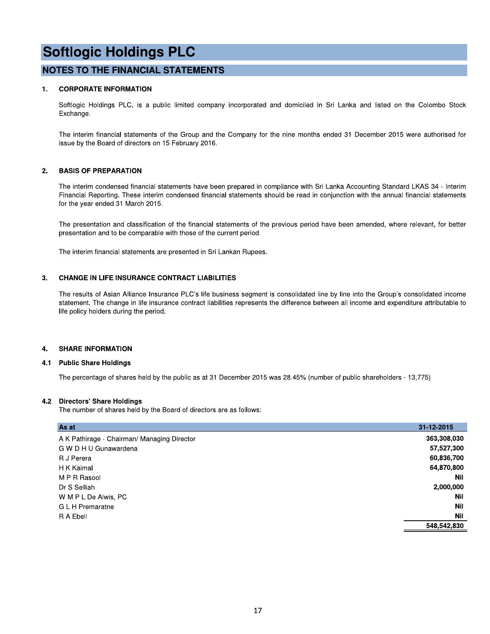# **NOTES TO THE FINANCIAL STATEMENTS**

#### $1.$ **CORPORATE INFORMATION**

Softlogic Holdings PLC, is a public limited company incorporated and domiciled in Sri Lanka and listed on the Colombo Stock Exchange.

The interim financial statements of the Group and the Company for the nine months ended 31 December 2015 were authorised for issue by the Board of directors on 15 February 2016.

#### $2.$ **BASIS OF PREPARATION**

The interim condensed financial statements have been prepared in compliance with Sri Lanka Accounting Standard LKAS 34 - Interim Financial Reporting. These interim condensed financial statements should be read in conjunction with the annual financial statements for the year ended 31 March 2015.

The presentation and classification of the financial statements of the previous period have been amended, where relevant, for better presentation and to be comparable with those of the current period.

The interim financial statements are presented in Sri Lankan Rupees.

#### **CHANGE IN LIFE INSURANCE CONTRACT LIABILITIES** 3.

The results of Asian Alliance Insurance PLC's life business segment is consolidated line by line into the Group's consolidated income statement. The change in life insurance contract liabilities represents the difference between all income and expenditure attributable to life policy holders during the period.

#### **SHARE INFORMATION** 4.

#### **Public Share Holdings** 4.1

The percentage of shares held by the public as at 31 December 2015 was 28.45% (number of public shareholders - 13,775)

### 4.2 Directors' Share Holdings

The number of shares held by the Board of directors are as follows:

| As at                                       | 31-12-2015  |
|---------------------------------------------|-------------|
| A K Pathirage - Chairman/ Managing Director | 363,308,030 |
| G W D H U Gunawardena                       | 57,527,300  |
| R J Perera                                  | 60,836,700  |
| H K Kaimal                                  | 64,870,800  |
| M P R Rasool                                | <b>Nil</b>  |
| Dr S Selliah                                | 2,000,000   |
| W M P L De Alwis, PC                        | <b>Nil</b>  |
| <b>GLH</b> Premaratne                       | <b>Nil</b>  |
| R A Ebell                                   | Nil         |
|                                             | 548,542,830 |
|                                             |             |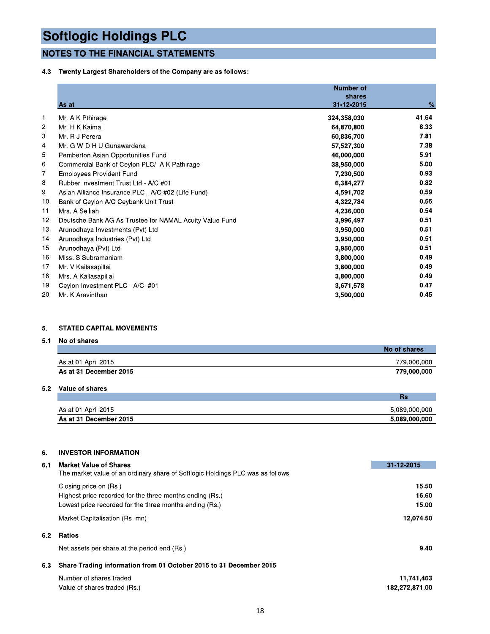# **NOTES TO THE FINANCIAL STATEMENTS**

# 4.3 Twenty Largest Shareholders of the Company are as follows:

|     | <b>NOTES TO THE FINANCIAL STATEMENTS</b>                   |                  |       |
|-----|------------------------------------------------------------|------------------|-------|
| 4.3 | Twenty Largest Shareholders of the Company are as follows: |                  |       |
|     |                                                            | <b>Number of</b> |       |
|     |                                                            | shares           |       |
|     | As at                                                      | 31-12-2015       | $\%$  |
| 1   | Mr. A K Pthirage                                           | 324,358,030      | 41.64 |
| 2   | Mr. H K Kaimal                                             | 64,870,800       | 8.33  |
| 3   | Mr. R J Perera                                             | 60,836,700       | 7.81  |
| 4   | Mr. G W D H U Gunawardena                                  | 57,527,300       | 7.38  |
| 5   | Pemberton Asian Opportunities Fund                         | 46,000,000       | 5.91  |
| 6   | Commercial Bank of Ceylon PLC/ A K Pathirage               | 38,950,000       | 5.00  |
| 7   | <b>Employees Provident Fund</b>                            | 7,230,500        | 0.93  |
| 8   | Rubber Investment Trust Ltd - A/C #01                      | 6,384,277        | 0.82  |
| 9   | Asian Alliance Insurance PLC - A/C #02 (Life Fund)         | 4,591,702        | 0.59  |
| 10  | Bank of Ceylon A/C Ceybank Unit Trust                      | 4,322,784        | 0.55  |
| 11  | Mrs. A Selliah                                             | 4,236,000        | 0.54  |
| 12  | Deutsche Bank AG As Trustee for NAMAL Acuity Value Fund    | 3,996,497        | 0.51  |
| 13  | Arunodhaya Investments (Pvt) Ltd                           | 3,950,000        | 0.51  |
| 14  | Arunodhaya Industries (Pvt) Ltd                            | 3,950,000        | 0.51  |
| 15  | Arunodhaya (Pvt) Ltd                                       | 3,950,000        | 0.51  |
| 16  | Miss. S Subramaniam                                        | 3,800,000        | 0.49  |
| 17  | Mr. V Kailasapillai                                        | 3,800,000        | 0.49  |
| 18  | Mrs. A Kailasapillai                                       | 3,800,000        | 0.49  |
| 19  | Ceylon Investment PLC - A/C #01                            | 3,671,578        | 0.47  |
| 20  | Mr. K Aravinthan                                           | 3,500,000        | 0.45  |

# 5. STATED CAPITAL MOVEMENTS

# 5.1 No of shares

|                        | No of shares |
|------------------------|--------------|
| As at 01 April 2015    | 779,000,000  |
| As at 31 December 2015 | 779,000,000  |

# 5.2 value of shares

|                        | me            |
|------------------------|---------------|
|                        |               |
| As at 01 April 2015    | 5.089.000.000 |
| As at 31 December 2015 | 5,089,000,000 |

# 6. INVESTOR INFORMATION

| As at 01 April 2015                                                             | 5,089,000,000                                                       |  |
|---------------------------------------------------------------------------------|---------------------------------------------------------------------|--|
| As at 31 December 2015                                                          | 5,089,000,000<br>31-12-2015<br>15.50<br>16.60<br>15.00<br>12,074.50 |  |
|                                                                                 |                                                                     |  |
|                                                                                 |                                                                     |  |
| <b>INVESTOR INFORMATION</b>                                                     |                                                                     |  |
| <b>Market Value of Shares</b>                                                   |                                                                     |  |
| The market value of an ordinary share of Softlogic Holdings PLC was as follows. |                                                                     |  |
| Closing price on (Rs.)                                                          |                                                                     |  |
| Highest price recorded for the three months ending (Rs.)                        |                                                                     |  |
| Lowest price recorded for the three months ending (Rs.)                         |                                                                     |  |
| Market Capitalisation (Rs. mn)                                                  |                                                                     |  |
|                                                                                 |                                                                     |  |
|                                                                                 |                                                                     |  |
| Net assets per share at the period end (Rs.)                                    | 9.40                                                                |  |
| Share Trading information from 01 October 2015 to 31 December 2015              |                                                                     |  |
| Number of shares traded                                                         | 11,741,463                                                          |  |
| Value of shares traded (Rs.)                                                    | 182,272,871.00                                                      |  |
|                                                                                 | <b>Ratios</b>                                                       |  |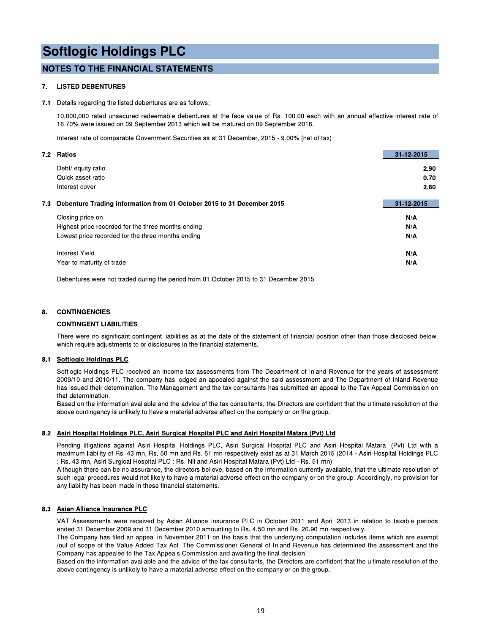# **NOTES TO THE FINANCIAL STATEMENTS**

#### 7. **LISTED DEBENTURES**

#### 7.1 Details regarding the listed debentures are as follows;

10,000,000 rated unsecured redeemable debentures at the face value of Rs. 100.00 each with an annual effective interest rate of 16.70% were issued on 09 September 2013 which will be matured on 09 September 2016.

Interest rate of comparable Government Securities as at 31 December, 2015 - 9.00% (net of tax)

| 7.2 Ratios                                                                    | 31-12-2015 |
|-------------------------------------------------------------------------------|------------|
| Debt/ equity ratio                                                            | 2.90       |
| Quick asset ratio                                                             | 0.70       |
| Interest cover                                                                | 2.60       |
| Debenture Trading information from 01 October 2015 to 31 December 2015<br>7.3 | 31-12-2015 |
| Closing price on                                                              | N/A        |
| Highest price recorded for the three months ending                            | N/A        |
| Lowest price recorded for the three months ending                             | N/A        |
| Interest Yield                                                                | N/A        |
| Year to maturity of trade                                                     | N/A        |

Debentures were not traded during the period from 01 October 2015 to 31 December 2015

#### **CONTINGENCIES** 8.

### **CONTINGENT LIABILITIES**

There were no significant contingent liabilities as at the date of the statement of financial position other than those disclosed below. which require adjustments to or disclosures in the financial statements.

# 8.1 Softlogic Holdings PLC

Softlogic Holdings PLC received an income tax assessments from The Department of Inland Revenue for the years of assessment 2009/10 and 2010/11. The company has lodged an appealed against the said assessment and The Department of Inland Revenue has issued their determination. The Management and the tax consultants has submitted an appeal to the Tax Appeal Commission on that determination.

Based on the information available and the advice of the tax consultants, the Directors are confident that the ultimate resolution of the above contingency is unlikely to have a material adverse effect on the company or on the group.

### 8.2 Asiri Hospital Holdings PLC, Asiri Surgical Hospital PLC and Asiri Hospital Matara (Pvt) Ltd

Pending litigations against Asiri Hospital Holdings PLC, Asiri Surgical Hospital PLC and Asiri Hospital Matara (Pvt) Ltd with a maximum liability of Rs. 43 mn, Rs. 50 mn and Rs. 51 mn respectively exist as at 31 March 2015 (2014 - Asiri Hospital Holdings PLC : Rs. 43 mn, Asiri Surgical Hospital PLC : Rs. Nil and Asiri Hospital Matara (Pvt) Ltd - Rs. 51 mn).

Although there can be no assurance, the directors believe, based on the information currently available, that the ultimate resolution of such legal procedures would not likely to have a material adverse effect on the company or on the group. Accordingly, no provision for any liability has been made in these financial statements.

### 8.3 Asian Alliance Insurance PLC

VAT Assessments were received by Asian Alliance Insurance PLC in October 2011 and April 2013 in relation to taxable periods ended 31 December 2009 and 31 December 2010 amounting to Rs. 4.50 mn and Rs. 26.90 mn respectively.

The Company has filed an appeal in November 2011 on the basis that the underlying computation includes items which are exempt /out of scope of the Value Added Tax Act. The Commissioner General of Inland Revenue has determined the assessment and the Company has appealed to the Tax Appeals Commission and awaiting the final decision.

Based on the information available and the advice of the tax consultants, the Directors are confident that the ultimate resolution of the above contingency is unlikely to have a material adverse effect on the company or on the group.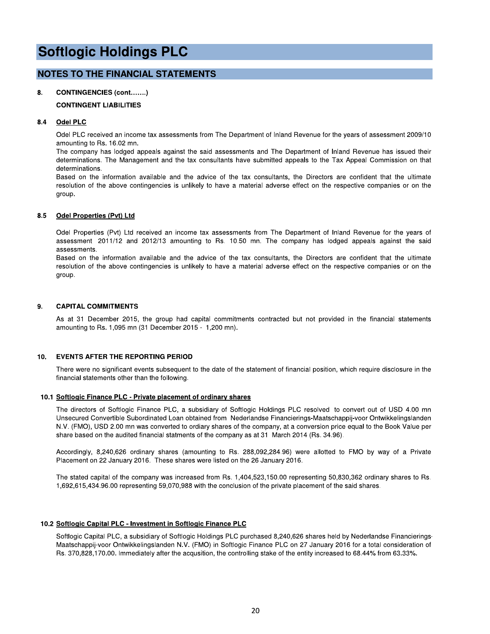# **NOTES TO THE FINANCIAL STATEMENTS**

#### 8. **CONTINGENCIES (cont.......)**

# **CONTINGENT LIABILITIES**

#### Odel PLC 8.4

Odel PLC received an income tax assessments from The Department of Inland Revenue for the years of assessment 2009/10 amounting to Rs. 16.02 mn.

The company has lodged appeals against the said assessments and The Department of Inland Revenue has issued their determinations. The Management and the tax consultants have submitted appeals to the Tax Appeal Commission on that determinations.

Based on the information available and the advice of the tax consultants, the Directors are confident that the ultimate resolution of the above contingencies is unlikely to have a material adverse effect on the respective companies or on the group.

#### 8.5 **Odel Properties (Pvt) Ltd**

Odel Properties (Pvt) Ltd received an income tax assessments from The Department of Inland Revenue for the years of assessment 2011/12 and 2012/13 amounting to Rs. 10.50 mn. The company has lodged appeals against the said assessments

Based on the information available and the advice of the tax consultants, the Directors are confident that the ultimate resolution of the above contingencies is unlikely to have a material adverse effect on the respective companies or on the group.

#### 9. **CAPITAL COMMITMENTS**

As at 31 December 2015, the group had capital commitments contracted but not provided in the financial statements amounting to Rs. 1,095 mn (31 December 2015 - 1,200 mn).

#### 10. **EVENTS AFTER THE REPORTING PERIOD**

There were no significant events subsequent to the date of the statement of financial position, which require disclosure in the financial statements other than the following.

### 10.1 Softlogic Finance PLC - Private placement of ordinary shares

The directors of Softlogic Finance PLC, a subsidiary of Softlogic Holdings PLC resolved to convert out of USD 4.00 mn Unsecured Convertible Subordinated Loan obtained from Nederlandse Financierings-Maatschappij-voor Ontwikkelingslanden N.V. (FMO), USD 2.00 mn was converted to ordiary shares of the company, at a conversion price equal to the Book Value per share based on the audited financial statments of the company as at 31 March 2014 (Rs. 34.96).

Accordingly, 8,240,626 ordinary shares (amounting to Rs. 288,092,284.96) were allotted to FMO by way of a Private Placement on 22 January 2016. These shares were listed on the 26 January 2016.

The stated capital of the company was increased from Rs. 1,404,523,150.00 representing 50,830,362 ordinary shares to Rs. 1,692,615,434.96.00 representing 59,070,988 with the conclusion of the private placement of the said shares.

### 10.2 Softlogic Capital PLC - Investment in Softlogic Finance PLC

Softlogic Capital PLC, a subsidiary of Softlogic Holdings PLC purchased 8,240,626 shares held by Nederlandse Financierings-Maatschappij-voor Ontwikkelingslanden N.V. (FMO) in Softlogic Finance PLC on 27 January 2016 for a total consideration of Rs. 370,828,170.00. Immediately after the acqusition, the controlling stake of the entity increased to 68.44% from 63.33%.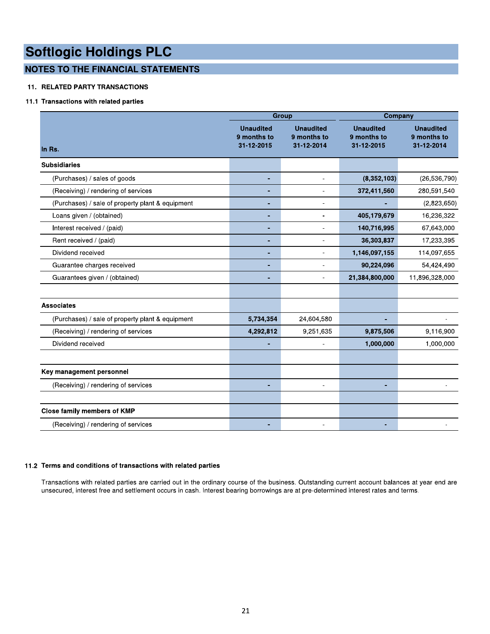# **NOTES TO THE FINANCIAL STATEMENTS**

# **11. RELATED PARTY TRANSACTIONS**

# 11.1 Transactions with related parties

|                                                  | Group                                         |                                               | Company                                       |                                               |
|--------------------------------------------------|-----------------------------------------------|-----------------------------------------------|-----------------------------------------------|-----------------------------------------------|
| In Rs.                                           | <b>Unaudited</b><br>9 months to<br>31-12-2015 | <b>Unaudited</b><br>9 months to<br>31-12-2014 | <b>Unaudited</b><br>9 months to<br>31-12-2015 | <b>Unaudited</b><br>9 months to<br>31-12-2014 |
| <b>Subsidiaries</b>                              |                                               |                                               |                                               |                                               |
| (Purchases) / sales of goods                     | ٠                                             | $\overline{\phantom{a}}$                      | (8,352,103)                                   | (26, 536, 790)                                |
| (Receiving) / rendering of services              |                                               |                                               | 372,411,560                                   | 280,591,540                                   |
| (Purchases) / sale of property plant & equipment |                                               |                                               |                                               | (2,823,650)                                   |
| Loans given / (obtained)                         | ÷                                             | $\overline{\phantom{a}}$                      | 405,179,679                                   | 16,236,322                                    |
| Interest received / (paid)                       |                                               |                                               | 140,716,995                                   | 67,643,000                                    |
| Rent received / (paid)                           | $\blacksquare$                                |                                               | 36,303,837                                    | 17,233,395                                    |
| Dividend received                                | ٠                                             | $\overline{\phantom{a}}$                      | 1,146,097,155                                 | 114,097,655                                   |
| Guarantee charges received                       | ٠                                             |                                               | 90,224,096                                    | 54,424,490                                    |
| Guarantees given / (obtained)                    |                                               |                                               | 21,384,800,000                                | 11,896,328,000                                |
| <b>Associates</b>                                |                                               |                                               |                                               |                                               |
| (Purchases) / sale of property plant & equipment | 5,734,354                                     | 24,604,580                                    |                                               |                                               |
| (Receiving) / rendering of services              | 4,292,812                                     | 9,251,635                                     | 9,875,506                                     | 9,116,900                                     |
| Dividend received                                |                                               | $\overline{a}$                                | 1,000,000                                     | 1,000,000                                     |
| Key management personnel                         |                                               |                                               |                                               |                                               |
| (Receiving) / rendering of services              | ÷                                             |                                               | ÷.                                            |                                               |
| Close family members of KMP                      |                                               |                                               |                                               |                                               |
| (Receiving) / rendering of services              |                                               |                                               |                                               |                                               |

# $11.2$  Terms and conditions of transactions with related parties  $\,$

Transactions with related parties are carried out in the ordinary course of the business. Outstanding current account balances at year end are unsecured, interest free and settlement occurs in cash. Interest bearing borrowings are at pre-determined interest rates and terms.